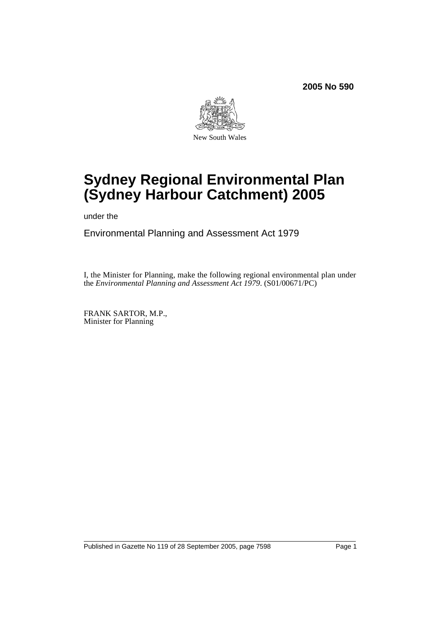

# **Sydney Regional Environmental Plan (Sydney Harbour Catchment) 2005**

under the

Environmental Planning and Assessment Act 1979

I, the Minister for Planning, make the following regional environmental plan under the *Environmental Planning and Assessment Act 1979*. (S01/00671/PC)

FRANK SARTOR, M.P., Minister for Planning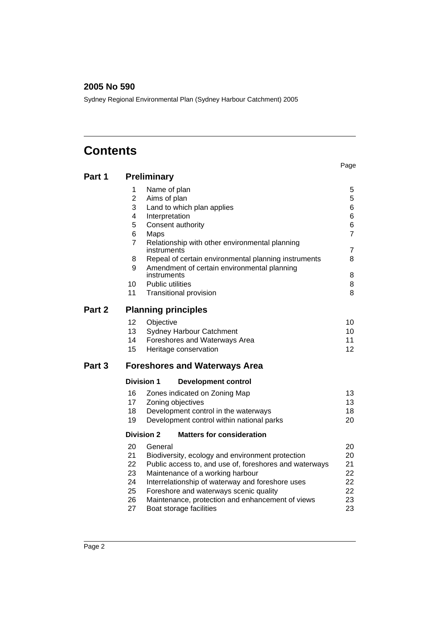Sydney Regional Environmental Plan (Sydney Harbour Catchment) 2005

# **Contents**

|                   |                                                                                                                                                                                                                                                                                                                                                                                             | Page                                                             |  |  |  |  |  |
|-------------------|---------------------------------------------------------------------------------------------------------------------------------------------------------------------------------------------------------------------------------------------------------------------------------------------------------------------------------------------------------------------------------------------|------------------------------------------------------------------|--|--|--|--|--|
| Part 1            | <b>Preliminary</b>                                                                                                                                                                                                                                                                                                                                                                          |                                                                  |  |  |  |  |  |
|                   | 1<br>Name of plan<br>$\overline{2}$<br>Aims of plan<br>3<br>Land to which plan applies<br>4<br>Interpretation<br>5<br>Consent authority<br>6<br>Maps<br>7<br>Relationship with other environmental planning<br>instruments<br>8<br>Repeal of certain environmental planning instruments<br>9<br>Amendment of certain environmental planning<br>instruments<br><b>Public utilities</b><br>10 | 5<br>5<br>6<br>6<br>6<br>$\overline{7}$<br>7<br>8<br>8<br>8<br>8 |  |  |  |  |  |
|                   | 11<br><b>Transitional provision</b><br>Part 2                                                                                                                                                                                                                                                                                                                                               |                                                                  |  |  |  |  |  |
|                   | <b>Planning principles</b>                                                                                                                                                                                                                                                                                                                                                                  |                                                                  |  |  |  |  |  |
|                   | Objective<br>12<br>13<br>Sydney Harbour Catchment<br>14<br>Foreshores and Waterways Area<br>15<br>Heritage conservation                                                                                                                                                                                                                                                                     | 10<br>10<br>11<br>12                                             |  |  |  |  |  |
| Part <sub>3</sub> | <b>Foreshores and Waterways Area</b>                                                                                                                                                                                                                                                                                                                                                        |                                                                  |  |  |  |  |  |
|                   | <b>Division 1</b><br><b>Development control</b>                                                                                                                                                                                                                                                                                                                                             |                                                                  |  |  |  |  |  |
|                   | 16<br>Zones indicated on Zoning Map<br>17<br>Zoning objectives<br>18<br>Development control in the waterways<br>19<br>Development control within national parks                                                                                                                                                                                                                             | 13<br>13<br>18<br>20                                             |  |  |  |  |  |
|                   | <b>Division 2</b><br><b>Matters for consideration</b>                                                                                                                                                                                                                                                                                                                                       |                                                                  |  |  |  |  |  |
|                   | 20<br>General<br>21<br>Biodiversity, ecology and environment protection<br>22<br>Public access to, and use of, foreshores and waterways<br>23<br>Maintenance of a working harbour<br>24<br>Interrelationship of waterway and foreshore uses<br>25<br>Foreshore and waterways scenic quality<br>26<br>Maintenance, protection and enhancement of views<br>27<br>Boat storage facilities      | 20<br>20<br>21<br>22<br>22<br>22<br>23<br>23                     |  |  |  |  |  |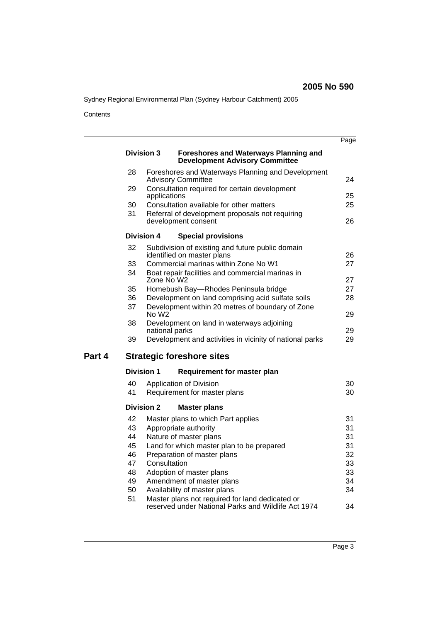Sydney Regional Environmental Plan (Sydney Harbour Catchment) 2005

**Contents** 

l.

|        |          |                   |                                                                                                        | Page     |
|--------|----------|-------------------|--------------------------------------------------------------------------------------------------------|----------|
|        |          | <b>Division 3</b> | <b>Foreshores and Waterways Planning and</b><br><b>Development Advisory Committee</b>                  |          |
|        | 28       |                   | Foreshores and Waterways Planning and Development<br><b>Advisory Committee</b>                         | 24       |
|        | 29       | applications      | Consultation required for certain development                                                          | 25       |
|        | 30       |                   | Consultation available for other matters                                                               | 25       |
|        | 31       |                   | Referral of development proposals not requiring<br>development consent                                 | 26       |
|        |          | <b>Division 4</b> | <b>Special provisions</b>                                                                              |          |
|        | 32       |                   | Subdivision of existing and future public domain<br>identified on master plans                         | 26       |
|        | 33       |                   | Commercial marinas within Zone No W1                                                                   | 27       |
|        | 34       | Zone No W2        | Boat repair facilities and commercial marinas in                                                       | 27       |
|        | 35       |                   | Homebush Bay-Rhodes Peninsula bridge                                                                   | 27       |
|        | 36       |                   | Development on land comprising acid sulfate soils                                                      | 28       |
|        | 37       | No W2             | Development within 20 metres of boundary of Zone                                                       | 29       |
|        | 38       | national parks    | Development on land in waterways adjoining                                                             | 29       |
|        | 39       |                   | Development and activities in vicinity of national parks                                               | 29       |
| Part 4 |          |                   | <b>Strategic foreshore sites</b>                                                                       |          |
|        |          | <b>Division 1</b> | <b>Requirement for master plan</b>                                                                     |          |
|        | 40       |                   | Application of Division                                                                                | 30       |
|        | 41       |                   | Requirement for master plans                                                                           | 30       |
|        |          | <b>Division 2</b> | <b>Master plans</b>                                                                                    |          |
|        | 42       |                   | Master plans to which Part applies                                                                     | 31       |
|        | 43       |                   | Appropriate authority                                                                                  | 31       |
|        | 44       |                   | Nature of master plans                                                                                 | 31       |
|        | 45       |                   | Land for which master plan to be prepared                                                              | 31       |
|        | 46<br>47 | Consultation      | Preparation of master plans                                                                            | 32<br>33 |
|        | 48       |                   | Adoption of master plans                                                                               | 33       |
|        | 49       |                   | Amendment of master plans                                                                              | 34       |
|        | 50       |                   | Availability of master plans                                                                           | 34       |
|        | 51       |                   | Master plans not required for land dedicated or<br>reserved under National Parks and Wildlife Act 1974 | 34       |
|        |          |                   |                                                                                                        |          |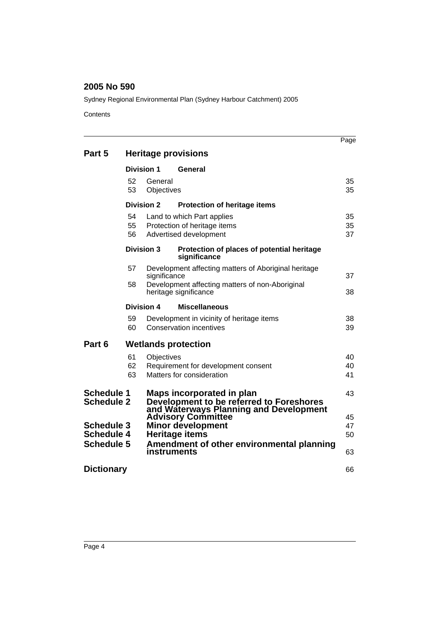Sydney Regional Environmental Plan (Sydney Harbour Catchment) 2005

**Contents** 

|                                                                                                       |                                   |                   |                                                                                                                      | Page           |  |
|-------------------------------------------------------------------------------------------------------|-----------------------------------|-------------------|----------------------------------------------------------------------------------------------------------------------|----------------|--|
| Part 5                                                                                                |                                   |                   | <b>Heritage provisions</b>                                                                                           |                |  |
| Division 1                                                                                            |                                   |                   | General                                                                                                              |                |  |
|                                                                                                       | 52<br>General<br>53<br>Objectives |                   |                                                                                                                      | 35<br>35       |  |
|                                                                                                       |                                   | <b>Division 2</b> | <b>Protection of heritage items</b>                                                                                  |                |  |
|                                                                                                       | 54<br>55<br>56                    |                   | Land to which Part applies<br>Protection of heritage items<br>Advertised development                                 | 35<br>35<br>37 |  |
|                                                                                                       |                                   | <b>Division 3</b> | Protection of places of potential heritage<br>significance                                                           |                |  |
|                                                                                                       | 57                                | significance      | Development affecting matters of Aboriginal heritage                                                                 | 37             |  |
| 58                                                                                                    |                                   |                   | Development affecting matters of non-Aboriginal<br>heritage significance                                             |                |  |
|                                                                                                       |                                   | Division 4        | <b>Miscellaneous</b>                                                                                                 |                |  |
|                                                                                                       | 59<br>60                          |                   | Development in vicinity of heritage items<br><b>Conservation incentives</b>                                          | 38<br>39       |  |
| Part 6                                                                                                |                                   |                   | <b>Wetlands protection</b>                                                                                           |                |  |
|                                                                                                       | 61<br>62<br>63                    | Objectives        | Requirement for development consent<br>Matters for consideration                                                     | 40<br>40<br>41 |  |
| <b>Schedule 1</b><br><b>Schedule 2</b><br><b>Schedule 3</b><br><b>Schedule 4</b><br><b>Schedule 5</b> |                                   |                   | Maps incorporated in plan<br>Development to be referred to Foreshores<br>and Waterways Planning and Development      | 43             |  |
|                                                                                                       |                                   |                   | <b>Advisory Committee</b><br><b>Minor development</b><br>Heritage items<br>Amendment of other environmental planning |                |  |
|                                                                                                       |                                   | instruments       |                                                                                                                      | 63             |  |
| <b>Dictionary</b>                                                                                     |                                   |                   |                                                                                                                      | 66             |  |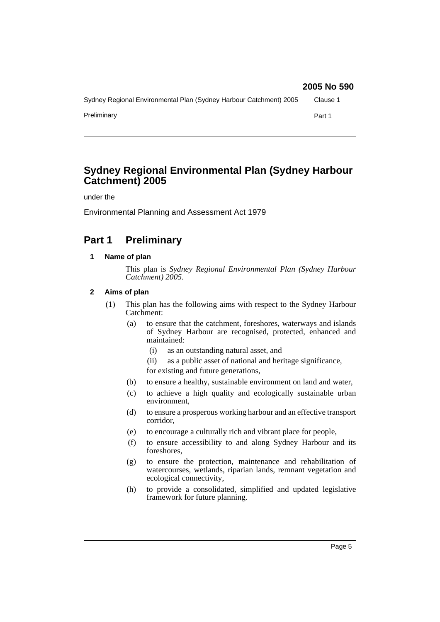# Sydney Regional Environmental Plan (Sydney Harbour Catchment) 2005 Clause 1 Preliminary **Part 1 2005 No 590**

# **Sydney Regional Environmental Plan (Sydney Harbour Catchment) 2005**

under the

Environmental Planning and Assessment Act 1979

# **Part 1 Preliminary**

# **1 Name of plan**

This plan is *Sydney Regional Environmental Plan (Sydney Harbour Catchment) 2005*.

# **2 Aims of plan**

- (1) This plan has the following aims with respect to the Sydney Harbour Catchment:
	- (a) to ensure that the catchment, foreshores, waterways and islands of Sydney Harbour are recognised, protected, enhanced and maintained:
		- (i) as an outstanding natural asset, and
		- (ii) as a public asset of national and heritage significance, for existing and future generations,
	- (b) to ensure a healthy, sustainable environment on land and water,
	- (c) to achieve a high quality and ecologically sustainable urban environment,
	- (d) to ensure a prosperous working harbour and an effective transport corridor,
	- (e) to encourage a culturally rich and vibrant place for people,
	- (f) to ensure accessibility to and along Sydney Harbour and its foreshores,
	- (g) to ensure the protection, maintenance and rehabilitation of watercourses, wetlands, riparian lands, remnant vegetation and ecological connectivity,
	- (h) to provide a consolidated, simplified and updated legislative framework for future planning.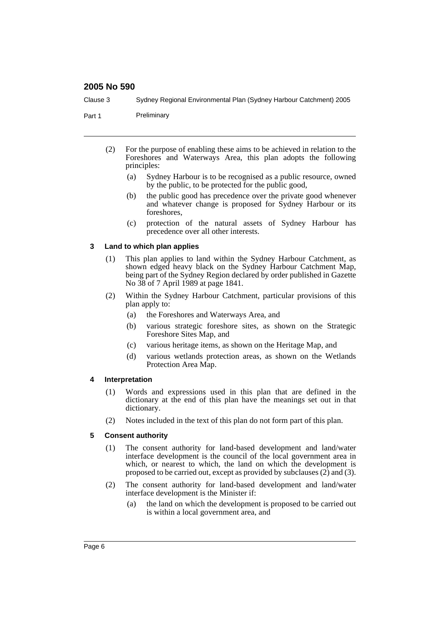Clause 3 Sydney Regional Environmental Plan (Sydney Harbour Catchment) 2005

Part 1 Preliminary

- (2) For the purpose of enabling these aims to be achieved in relation to the Foreshores and Waterways Area, this plan adopts the following principles:
	- (a) Sydney Harbour is to be recognised as a public resource, owned by the public, to be protected for the public good,
	- (b) the public good has precedence over the private good whenever and whatever change is proposed for Sydney Harbour or its foreshores,
	- (c) protection of the natural assets of Sydney Harbour has precedence over all other interests.

#### **3 Land to which plan applies**

- (1) This plan applies to land within the Sydney Harbour Catchment, as shown edged heavy black on the Sydney Harbour Catchment Map, being part of the Sydney Region declared by order published in Gazette No 38 of 7 April 1989 at page 1841.
- (2) Within the Sydney Harbour Catchment, particular provisions of this plan apply to:
	- (a) the Foreshores and Waterways Area, and
	- (b) various strategic foreshore sites, as shown on the Strategic Foreshore Sites Map, and
	- (c) various heritage items, as shown on the Heritage Map, and
	- (d) various wetlands protection areas, as shown on the Wetlands Protection Area Map.

#### **4 Interpretation**

- (1) Words and expressions used in this plan that are defined in the dictionary at the end of this plan have the meanings set out in that dictionary.
- (2) Notes included in the text of this plan do not form part of this plan.

#### **5 Consent authority**

- (1) The consent authority for land-based development and land/water interface development is the council of the local government area in which, or nearest to which, the land on which the development is proposed to be carried out, except as provided by subclauses  $(2)$  and  $(3)$ .
- (2) The consent authority for land-based development and land/water interface development is the Minister if:
	- (a) the land on which the development is proposed to be carried out is within a local government area, and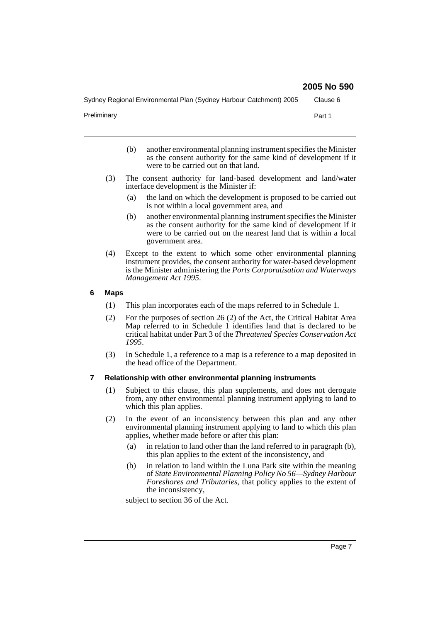Sydney Regional Environmental Plan (Sydney Harbour Catchment) 2005 Clause 6

Preliminary **Preliminary Part 1** 

- (b) another environmental planning instrument specifies the Minister as the consent authority for the same kind of development if it were to be carried out on that land.
- (3) The consent authority for land-based development and land/water interface development is the Minister if:
	- (a) the land on which the development is proposed to be carried out is not within a local government area, and
	- (b) another environmental planning instrument specifies the Minister as the consent authority for the same kind of development if it were to be carried out on the nearest land that is within a local government area.
- (4) Except to the extent to which some other environmental planning instrument provides, the consent authority for water-based development is the Minister administering the *Ports Corporatisation and Waterways Management Act 1995*.

#### **6 Maps**

- (1) This plan incorporates each of the maps referred to in Schedule 1.
- (2) For the purposes of section 26 (2) of the Act, the Critical Habitat Area Map referred to in Schedule 1 identifies land that is declared to be critical habitat under Part 3 of the *Threatened Species Conservation Act 1995*.
- (3) In Schedule 1, a reference to a map is a reference to a map deposited in the head office of the Department.

#### **7 Relationship with other environmental planning instruments**

- (1) Subject to this clause, this plan supplements, and does not derogate from, any other environmental planning instrument applying to land to which this plan applies.
- (2) In the event of an inconsistency between this plan and any other environmental planning instrument applying to land to which this plan applies, whether made before or after this plan:
	- (a) in relation to land other than the land referred to in paragraph (b), this plan applies to the extent of the inconsistency, and
	- (b) in relation to land within the Luna Park site within the meaning of *State Environmental Planning Policy No 56—Sydney Harbour Foreshores and Tributaries*, that policy applies to the extent of the inconsistency,

subject to section 36 of the Act.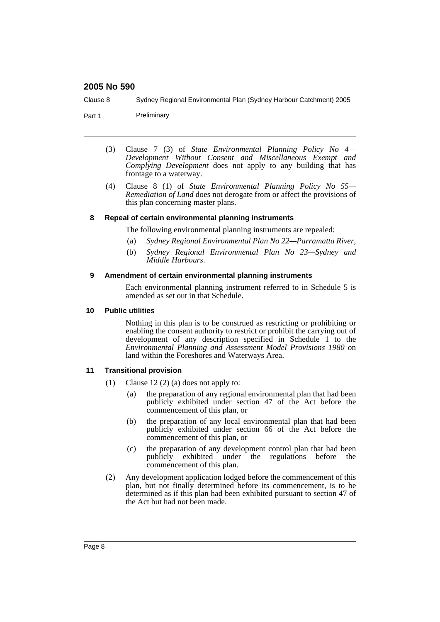Clause 8 Sydney Regional Environmental Plan (Sydney Harbour Catchment) 2005

Part 1 Preliminary

- (3) Clause 7 (3) of *State Environmental Planning Policy No 4— Development Without Consent and Miscellaneous Exempt and Complying Development* does not apply to any building that has frontage to a waterway.
- (4) Clause 8 (1) of *State Environmental Planning Policy No 55— Remediation of Land* does not derogate from or affect the provisions of this plan concerning master plans.

#### **8 Repeal of certain environmental planning instruments**

The following environmental planning instruments are repealed:

- (a) *Sydney Regional Environmental Plan No 22—Parramatta River*,
- (b) *Sydney Regional Environmental Plan No 23—Sydney and Middle Harbours*.

#### **9 Amendment of certain environmental planning instruments**

Each environmental planning instrument referred to in Schedule 5 is amended as set out in that Schedule.

#### **10 Public utilities**

Nothing in this plan is to be construed as restricting or prohibiting or enabling the consent authority to restrict or prohibit the carrying out of development of any description specified in Schedule 1 to the *Environmental Planning and Assessment Model Provisions 1980* on land within the Foreshores and Waterways Area.

#### **11 Transitional provision**

- (1) Clause 12 (2) (a) does not apply to:
	- (a) the preparation of any regional environmental plan that had been publicly exhibited under section 47 of the Act before the commencement of this plan, or
	- (b) the preparation of any local environmental plan that had been publicly exhibited under section 66 of the Act before the commencement of this plan, or
	- (c) the preparation of any development control plan that had been publicly exhibited under the regulations before the commencement of this plan.
- (2) Any development application lodged before the commencement of this plan, but not finally determined before its commencement, is to be determined as if this plan had been exhibited pursuant to section 47 of the Act but had not been made.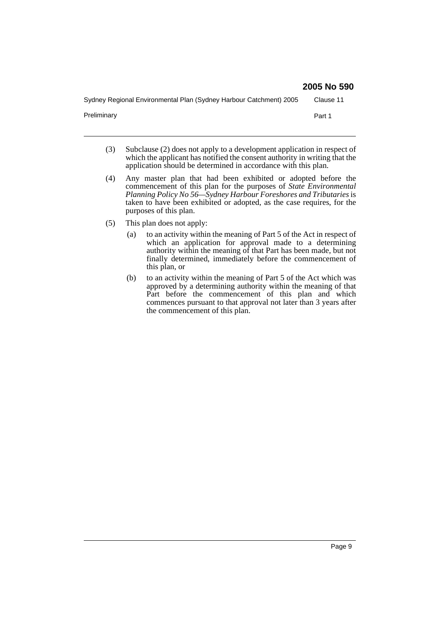Sydney Regional Environmental Plan (Sydney Harbour Catchment) 2005 Clause 11

Preliminary **Part 1** 

- (3) Subclause (2) does not apply to a development application in respect of which the applicant has notified the consent authority in writing that the application should be determined in accordance with this plan.
- (4) Any master plan that had been exhibited or adopted before the commencement of this plan for the purposes of *State Environmental Planning Policy No 56—Sydney Harbour Foreshores and Tributaries* is taken to have been exhibited or adopted, as the case requires, for the purposes of this plan.
- (5) This plan does not apply:
	- (a) to an activity within the meaning of Part 5 of the Act in respect of which an application for approval made to a determining authority within the meaning of that Part has been made, but not finally determined, immediately before the commencement of this plan, or
	- (b) to an activity within the meaning of Part 5 of the Act which was approved by a determining authority within the meaning of that Part before the commencement of this plan and which commences pursuant to that approval not later than 3 years after the commencement of this plan.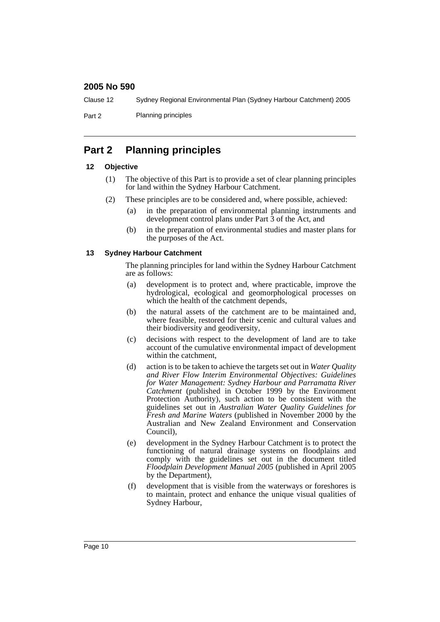Clause 12 Sydney Regional Environmental Plan (Sydney Harbour Catchment) 2005

Part 2 Planning principles

# **Part 2 Planning principles**

#### **12 Objective**

- (1) The objective of this Part is to provide a set of clear planning principles for land within the Sydney Harbour Catchment.
- (2) These principles are to be considered and, where possible, achieved:
	- (a) in the preparation of environmental planning instruments and development control plans under Part 3 of the Act, and
	- (b) in the preparation of environmental studies and master plans for the purposes of the Act.

#### **13 Sydney Harbour Catchment**

The planning principles for land within the Sydney Harbour Catchment are as follows:

- (a) development is to protect and, where practicable, improve the hydrological, ecological and geomorphological processes on which the health of the catchment depends,
- (b) the natural assets of the catchment are to be maintained and, where feasible, restored for their scenic and cultural values and their biodiversity and geodiversity,
- (c) decisions with respect to the development of land are to take account of the cumulative environmental impact of development within the catchment,
- (d) action is to be taken to achieve the targets set out in *Water Quality and River Flow Interim Environmental Objectives: Guidelines for Water Management: Sydney Harbour and Parramatta River Catchment* (published in October 1999 by the Environment Protection Authority), such action to be consistent with the guidelines set out in *Australian Water Quality Guidelines for Fresh and Marine Waters* (published in November 2000 by the Australian and New Zealand Environment and Conservation Council),
- (e) development in the Sydney Harbour Catchment is to protect the functioning of natural drainage systems on floodplains and comply with the guidelines set out in the document titled *Floodplain Development Manual 2005* (published in April 2005 by the Department),
- (f) development that is visible from the waterways or foreshores is to maintain, protect and enhance the unique visual qualities of Sydney Harbour,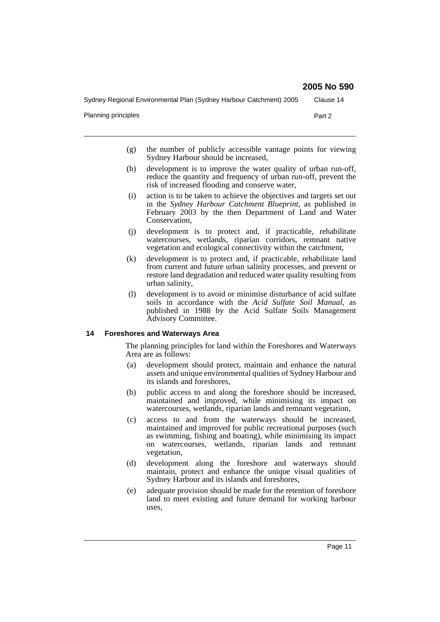Sydney Regional Environmental Plan (Sydney Harbour Catchment) 2005 Clause 14

Planning principles **Part 2** 

- (g) the number of publicly accessible vantage points for viewing Sydney Harbour should be increased,
- (h) development is to improve the water quality of urban run-off, reduce the quantity and frequency of urban run-off, prevent the risk of increased flooding and conserve water,
- (i) action is to be taken to achieve the objectives and targets set out in the *Sydney Harbour Catchment Blueprint*, as published in February 2003 by the then Department of Land and Water Conservation,
- (j) development is to protect and, if practicable, rehabilitate watercourses, wetlands, riparian corridors, remnant native vegetation and ecological connectivity within the catchment,
- (k) development is to protect and, if practicable, rehabilitate land from current and future urban salinity processes, and prevent or restore land degradation and reduced water quality resulting from urban salinity,
- (l) development is to avoid or minimise disturbance of acid sulfate soils in accordance with the *Acid Sulfate Soil Manual*, as published in 1988 by the Acid Sulfate Soils Management Advisory Committee.

#### **14 Foreshores and Waterways Area**

The planning principles for land within the Foreshores and Waterways Area are as follows:

- (a) development should protect, maintain and enhance the natural assets and unique environmental qualities of Sydney Harbour and its islands and foreshores,
- (b) public access to and along the foreshore should be increased, maintained and improved, while minimising its impact on watercourses, wetlands, riparian lands and remnant vegetation,
- (c) access to and from the waterways should be increased, maintained and improved for public recreational purposes (such as swimming, fishing and boating), while minimising its impact on watercourses, wetlands, riparian lands and remnant vegetation,
- (d) development along the foreshore and waterways should maintain, protect and enhance the unique visual qualities of Sydney Harbour and its islands and foreshores,
- (e) adequate provision should be made for the retention of foreshore land to meet existing and future demand for working harbour uses,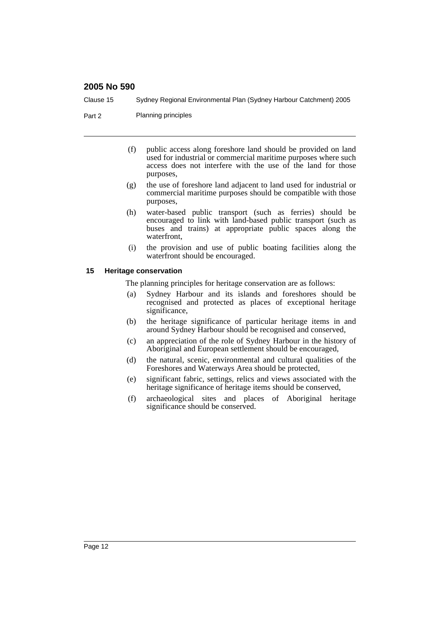Clause 15 Sydney Regional Environmental Plan (Sydney Harbour Catchment) 2005

Part 2 Planning principles

- (f) public access along foreshore land should be provided on land used for industrial or commercial maritime purposes where such access does not interfere with the use of the land for those purposes,
- (g) the use of foreshore land adjacent to land used for industrial or commercial maritime purposes should be compatible with those purposes,
- (h) water-based public transport (such as ferries) should be encouraged to link with land-based public transport (such as buses and trains) at appropriate public spaces along the waterfront,
- (i) the provision and use of public boating facilities along the waterfront should be encouraged.

#### **15 Heritage conservation**

The planning principles for heritage conservation are as follows:

- (a) Sydney Harbour and its islands and foreshores should be recognised and protected as places of exceptional heritage significance,
- (b) the heritage significance of particular heritage items in and around Sydney Harbour should be recognised and conserved,
- (c) an appreciation of the role of Sydney Harbour in the history of Aboriginal and European settlement should be encouraged,
- (d) the natural, scenic, environmental and cultural qualities of the Foreshores and Waterways Area should be protected,
- (e) significant fabric, settings, relics and views associated with the heritage significance of heritage items should be conserved,
- (f) archaeological sites and places of Aboriginal heritage significance should be conserved.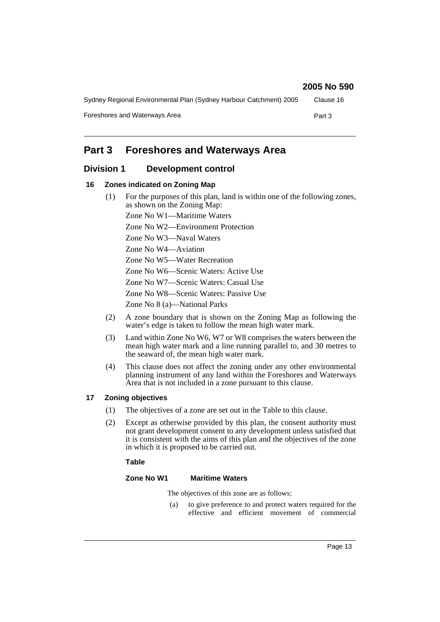| Sydney Regional Environmental Plan (Sydney Harbour Catchment) 2005 | Clause 16 |
|--------------------------------------------------------------------|-----------|
| Foreshores and Waterways Area                                      | Part 3    |

# **Part 3 Foreshores and Waterways Area**

# **Division 1 Development control**

#### **16 Zones indicated on Zoning Map**

(1) For the purposes of this plan, land is within one of the following zones, as shown on the Zoning Map:

Zone No W1—Maritime Waters

- Zone No W2—Environment Protection
- Zone No W3—Naval Waters

Zone No W4—Aviation

Zone No W5—Water Recreation

Zone No W6—Scenic Waters: Active Use

Zone No W7—Scenic Waters: Casual Use

Zone No W8—Scenic Waters: Passive Use

Zone No 8 (a)—National Parks

- (2) A zone boundary that is shown on the Zoning Map as following the water's edge is taken to follow the mean high water mark.
- (3) Land within Zone No W6, W7 or W8 comprises the waters between the mean high water mark and a line running parallel to, and 30 metres to the seaward of, the mean high water mark.
- (4) This clause does not affect the zoning under any other environmental planning instrument of any land within the Foreshores and Waterways Area that is not included in a zone pursuant to this clause.

#### **17 Zoning objectives**

- (1) The objectives of a zone are set out in the Table to this clause.
- (2) Except as otherwise provided by this plan, the consent authority must not grant development consent to any development unless satisfied that it is consistent with the aims of this plan and the objectives of the zone in which it is proposed to be carried out.

#### **Table**

#### **Zone No W1 Maritime Waters**

The objectives of this zone are as follows:

(a) to give preference to and protect waters required for the effective and efficient movement of commercial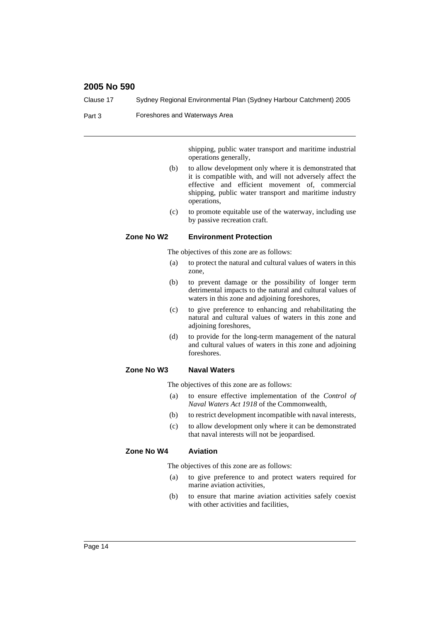| Clause 17 |            | Sydney Regional Environmental Plan (Sydney Harbour Catchment) 2005                                                                                                                                                                              |
|-----------|------------|-------------------------------------------------------------------------------------------------------------------------------------------------------------------------------------------------------------------------------------------------|
| Part 3    |            | Foreshores and Waterways Area                                                                                                                                                                                                                   |
|           |            |                                                                                                                                                                                                                                                 |
|           |            | shipping, public water transport and maritime industrial<br>operations generally,                                                                                                                                                               |
|           | (b)        | to allow development only where it is demonstrated that<br>it is compatible with, and will not adversely affect the<br>effective and efficient movement of, commercial<br>shipping, public water transport and maritime industry<br>operations, |
|           | (c)        | to promote equitable use of the waterway, including use<br>by passive recreation craft.                                                                                                                                                         |
|           | Zone No W2 | <b>Environment Protection</b>                                                                                                                                                                                                                   |
|           |            | The objectives of this zone are as follows:                                                                                                                                                                                                     |
|           | (a)        | to protect the natural and cultural values of waters in this<br>zone,                                                                                                                                                                           |
|           | (b)        | to prevent damage or the possibility of longer term<br>detrimental impacts to the natural and cultural values of<br>waters in this zone and adjoining foreshores,                                                                               |
|           | (c)        | to give preference to enhancing and rehabilitating the<br>natural and cultural values of waters in this zone and<br>adjoining foreshores,                                                                                                       |
|           | (d)        | to provide for the long-term management of the natural<br>and cultural values of waters in this zone and adjoining<br>foreshores.                                                                                                               |
|           | Zone No W3 | <b>Naval Waters</b>                                                                                                                                                                                                                             |
|           |            | The objectives of this zone are as follows:                                                                                                                                                                                                     |
|           | (a)        | to ensure effective implementation of the Control of<br>Naval Waters Act 1918 of the Commonwealth,                                                                                                                                              |
|           | (b)        | to restrict development incompatible with naval interests,                                                                                                                                                                                      |
|           | (c)        | to allow development only where it can be demonstrated<br>that naval interests will not be jeopardised.                                                                                                                                         |
|           | Zone No W4 | <b>Aviation</b>                                                                                                                                                                                                                                 |
|           |            | The objectives of this zone are as follows:                                                                                                                                                                                                     |
|           | (a)        | to give preference to and protect waters required for<br>marine aviation activities,                                                                                                                                                            |
|           | (b)        | to ensure that marine aviation activities safely coexist<br>with other activities and facilities,                                                                                                                                               |
|           |            |                                                                                                                                                                                                                                                 |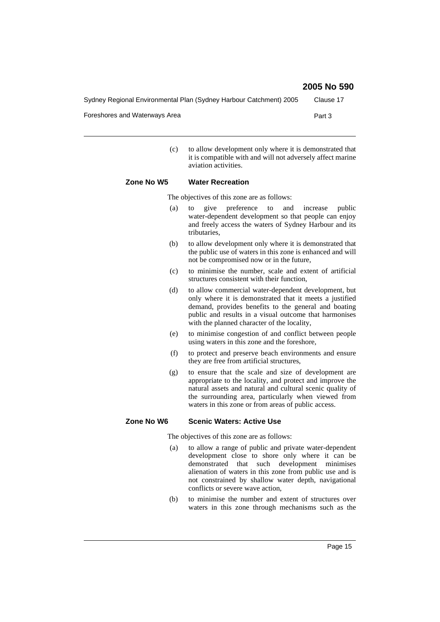Sydney Regional Environmental Plan (Sydney Harbour Catchment) 2005 Clause 17

Foreshores and Waterways Area **Part 3** Part 3

(c) to allow development only where it is demonstrated that it is compatible with and will not adversely affect marine aviation activities.

#### **Zone No W5 Water Recreation**

The objectives of this zone are as follows:

- (a) to give preference to and increase public water-dependent development so that people can enjoy and freely access the waters of Sydney Harbour and its tributaries,
- (b) to allow development only where it is demonstrated that the public use of waters in this zone is enhanced and will not be compromised now or in the future,
- (c) to minimise the number, scale and extent of artificial structures consistent with their function,
- (d) to allow commercial water-dependent development, but only where it is demonstrated that it meets a justified demand, provides benefits to the general and boating public and results in a visual outcome that harmonises with the planned character of the locality,
- (e) to minimise congestion of and conflict between people using waters in this zone and the foreshore,
- (f) to protect and preserve beach environments and ensure they are free from artificial structures,
- (g) to ensure that the scale and size of development are appropriate to the locality, and protect and improve the natural assets and natural and cultural scenic quality of the surrounding area, particularly when viewed from waters in this zone or from areas of public access.

#### **Zone No W6 Scenic Waters: Active Use**

The objectives of this zone are as follows:

- (a) to allow a range of public and private water-dependent development close to shore only where it can be demonstrated that such development minimises alienation of waters in this zone from public use and is not constrained by shallow water depth, navigational conflicts or severe wave action,
- (b) to minimise the number and extent of structures over waters in this zone through mechanisms such as the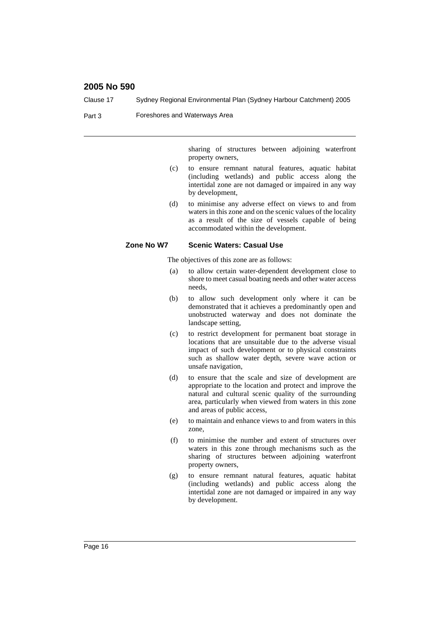| Clause 17 |            | Sydney Regional Environmental Plan (Sydney Harbour Catchment) 2005                                                                                                                                                                                                  |
|-----------|------------|---------------------------------------------------------------------------------------------------------------------------------------------------------------------------------------------------------------------------------------------------------------------|
| Part 3    |            | Foreshores and Waterways Area                                                                                                                                                                                                                                       |
|           |            | sharing of structures between adjoining waterfront<br>property owners,                                                                                                                                                                                              |
|           | (c)        | to ensure remnant natural features, aquatic habitat<br>(including wetlands) and public access along the<br>intertidal zone are not damaged or impaired in any way<br>by development,                                                                                |
|           | (d)        | to minimise any adverse effect on views to and from<br>waters in this zone and on the scenic values of the locality<br>as a result of the size of vessels capable of being<br>accommodated within the development.                                                  |
|           | Zone No W7 | <b>Scenic Waters: Casual Use</b>                                                                                                                                                                                                                                    |
|           |            | The objectives of this zone are as follows:                                                                                                                                                                                                                         |
|           | (a)        | to allow certain water-dependent development close to<br>shore to meet casual boating needs and other water access<br>needs.                                                                                                                                        |
|           | (b)        | to allow such development only where it can be<br>demonstrated that it achieves a predominantly open and<br>unobstructed waterway and does not dominate the<br>landscape setting,                                                                                   |
|           | (c)        | to restrict development for permanent boat storage in<br>locations that are unsuitable due to the adverse visual<br>impact of such development or to physical constraints<br>such as shallow water depth, severe wave action or<br>unsafe navigation,               |
|           | (d)        | to ensure that the scale and size of development are<br>appropriate to the location and protect and improve the<br>natural and cultural scenic quality of the surrounding<br>area, particularly when viewed from waters in this zone<br>and areas of public access, |
|           | (e)        | to maintain and enhance views to and from waters in this<br>zone,                                                                                                                                                                                                   |
|           | (f)        | to minimise the number and extent of structures over<br>waters in this zone through mechanisms such as the<br>sharing of structures between adjoining waterfront<br>property owners,                                                                                |
|           | (g)        | to ensure remnant natural features, aquatic habitat<br>(including wetlands) and public access along the<br>intertidal zone are not damaged or impaired in any way<br>by development.                                                                                |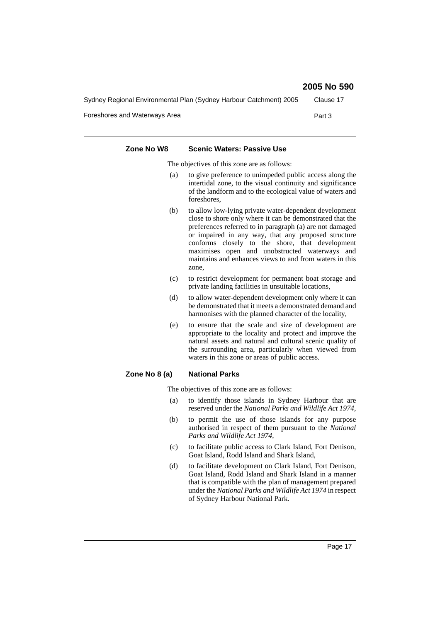| 2005 No 590 |  |  |
|-------------|--|--|
|-------------|--|--|

| Sydney Regional Environmental Plan (Sydney Harbour Catchment) 2005 | Clause 17 |
|--------------------------------------------------------------------|-----------|
| Foreshores and Waterways Area                                      | Part 3    |

| Zone No W8    | <b>Scenic Waters: Passive Use</b>                                                                                                                                                                                                                                                                                                                                                                              |
|---------------|----------------------------------------------------------------------------------------------------------------------------------------------------------------------------------------------------------------------------------------------------------------------------------------------------------------------------------------------------------------------------------------------------------------|
|               | The objectives of this zone are as follows:                                                                                                                                                                                                                                                                                                                                                                    |
| (a)           | to give preference to unimpeded public access along the<br>intertidal zone, to the visual continuity and significance<br>of the landform and to the ecological value of waters and<br>foreshores.                                                                                                                                                                                                              |
| (b)           | to allow low-lying private water-dependent development<br>close to shore only where it can be demonstrated that the<br>preferences referred to in paragraph (a) are not damaged<br>or impaired in any way, that any proposed structure<br>conforms closely to the shore, that development<br>maximises open and unobstructed waterways and<br>maintains and enhances views to and from waters in this<br>zone, |
| (c)           | to restrict development for permanent boat storage and<br>private landing facilities in unsuitable locations,                                                                                                                                                                                                                                                                                                  |
| (d)           | to allow water-dependent development only where it can<br>be demonstrated that it meets a demonstrated demand and<br>harmonises with the planned character of the locality,                                                                                                                                                                                                                                    |
| (e)           | to ensure that the scale and size of development are<br>appropriate to the locality and protect and improve the<br>natural assets and natural and cultural scenic quality of<br>the surrounding area, particularly when viewed from<br>waters in this zone or areas of public access.                                                                                                                          |
| Zone No 8 (a) | <b>National Parks</b>                                                                                                                                                                                                                                                                                                                                                                                          |
|               | The objectives of this zone are as follows:                                                                                                                                                                                                                                                                                                                                                                    |
| (a)           | to identify those islands in Sydney Harbour that are<br>reserved under the National Parks and Wildlife Act 1974,                                                                                                                                                                                                                                                                                               |
| (b)           | to permit the use of those islands for any purpose                                                                                                                                                                                                                                                                                                                                                             |

- authorised in respect of them pursuant to the *National Parks and Wildlife Act 1974*,
- (c) to facilitate public access to Clark Island, Fort Denison, Goat Island, Rodd Island and Shark Island,
- (d) to facilitate development on Clark Island, Fort Denison, Goat Island, Rodd Island and Shark Island in a manner that is compatible with the plan of management prepared under the *National Parks and Wildlife Act 1974* in respect of Sydney Harbour National Park.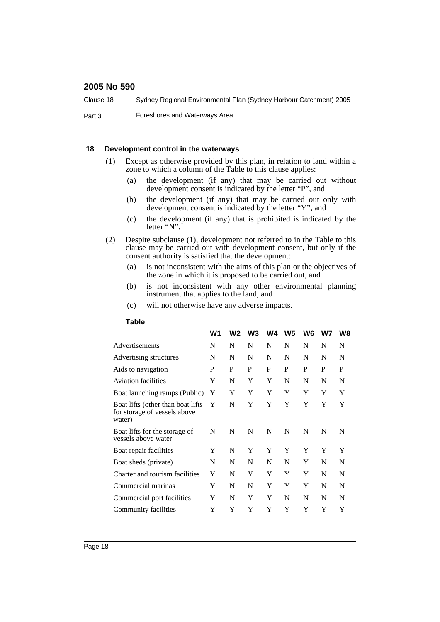Clause 18 Sydney Regional Environmental Plan (Sydney Harbour Catchment) 2005

Part 3 Foreshores and Waterways Area

#### **18 Development control in the waterways**

- (1) Except as otherwise provided by this plan, in relation to land within a zone to which a column of the Table to this clause applies:
	- (a) the development (if any) that may be carried out without development consent is indicated by the letter "P", and
	- (b) the development (if any) that may be carried out only with development consent is indicated by the letter "Y", and
	- (c) the development (if any) that is prohibited is indicated by the letter "N".
- (2) Despite subclause (1), development not referred to in the Table to this clause may be carried out with development consent, but only if the consent authority is satisfied that the development:
	- (a) is not inconsistent with the aims of this plan or the objectives of the zone in which it is proposed to be carried out, and
	- (b) is not inconsistent with any other environmental planning instrument that applies to the land, and
	- (c) will not otherwise have any adverse impacts.

#### **Table**

|                                                                             | W1 | W2 | W <sub>3</sub> | W4 | W <sub>5</sub> | W <sub>6</sub> | W7 | W8 |
|-----------------------------------------------------------------------------|----|----|----------------|----|----------------|----------------|----|----|
| Advertisements                                                              | N  | N  | N              | N  | N              | N              | N  | N  |
| Advertising structures                                                      | N  | N  | N              | N  | N              | N              | N  | N  |
| Aids to navigation                                                          | P  | P  | P              | P  | P              | P              | P  | P  |
| <b>Aviation facilities</b>                                                  | Y  | N  | Y              | Y  | N              | N              | N  | N  |
| Boat launching ramps (Public)                                               | Y  | Y  | Y              | Y  | Y              | Y              | Y  | Y  |
| Boat lifts (other than boat lifts<br>for storage of vessels above<br>water) | Y  | N  | Y              | Y  | Y              | Y              | Y  | Y  |
| Boat lifts for the storage of<br>vessels above water                        | N  | N  | N              | N  | N              | N              | N  | N  |
| Boat repair facilities                                                      | Y  | N  | Y              | Y  | Y              | Y              | Y  | Y  |
| Boat sheds (private)                                                        | N  | N  | N              | N  | N              | Y              | N  | N  |
| Charter and tourism facilities                                              | Y  | N  | Y              | Y  | Y              | Y              | N  | N  |
| Commercial marinas                                                          | Y  | N  | N              | Y  | Y              | Y              | N  | N  |
| Commercial port facilities                                                  | Y  | N  | Y              | Y  | N              | N              | N  | N  |
| Community facilities                                                        | Y  | Y  | Y              | Y  | Y              | Y              | Y  | Y  |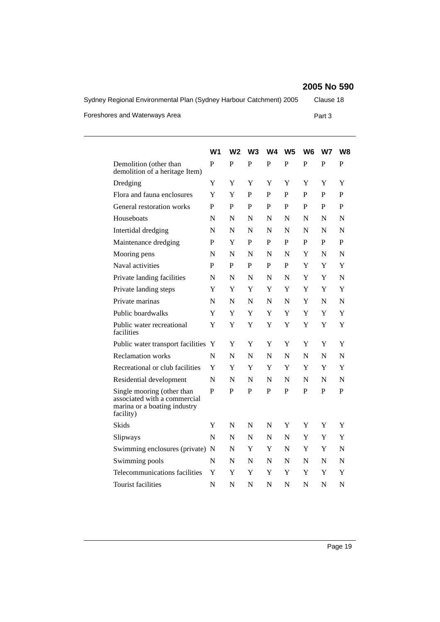Sydney Regional Environmental Plan (Sydney Harbour Catchment) 2005 Clause 18 Foreshores and Waterways Area **Part 3** Part 3

|                                                                                                         | W <sub>1</sub> | W2           | W <sub>3</sub> | W <sub>4</sub> | W <sub>5</sub> | W <sub>6</sub> | W7           | W8          |
|---------------------------------------------------------------------------------------------------------|----------------|--------------|----------------|----------------|----------------|----------------|--------------|-------------|
| Demolition (other than<br>demolition of a heritage Item)                                                | P              | $\mathbf{P}$ | $\mathbf{P}$   | $\mathbf{P}$   | $\mathbf{P}$   | $\mathbf{P}$   | $\mathbf{P}$ | P           |
| Dredging                                                                                                | Y              | Y            | Y              | Y              | Y              | Y              | Y            | Y           |
| Flora and fauna enclosures                                                                              | Y              | Y            | P              | P              | P              | P              | P            | P           |
| General restoration works                                                                               | $\mathbf{P}$   | $\mathbf P$  | P              | P              | P              | P              | P            | P           |
| Houseboats                                                                                              | N              | N            | N              | N              | N              | N              | N            | N           |
| Intertidal dredging                                                                                     | N              | N            | N              | N              | N              | N              | N            | N           |
| Maintenance dredging                                                                                    | P              | Y            | P              | P              | P              | P              | P            | P           |
| Mooring pens                                                                                            | N              | N            | N              | N              | N              | Y              | N            | N           |
| Naval activities                                                                                        | P              | $\mathbf P$  | P              | P              | P              | Y              | Y            | Y           |
| Private landing facilities                                                                              | $\mathbf N$    | N            | N              | N              | N              | Y              | Y            | N           |
| Private landing steps                                                                                   | Y              | Y            | Y              | Y              | Y              | Y              | Y            | Y           |
| Private marinas                                                                                         | N              | N            | N              | N              | N              | Y              | N            | N           |
| Public boardwalks                                                                                       | Y              | Y            | Y              | Y              | Y              | Y              | Y            | Y           |
| Public water recreational<br>facilities                                                                 | Y              | Y            | Y              | Y              | Y              | Y              | Y            | Y           |
| Public water transport facilities                                                                       | Y              | Y            | Y              | Y              | Y              | Y              | Y            | Y           |
| Reclamation works                                                                                       | N              | N            | N              | N              | N              | N              | N            | N           |
| Recreational or club facilities                                                                         | Y              | Y            | Y              | Y              | Y              | Y              | Y            | Y           |
| Residential development                                                                                 | N              | N            | N              | N              | N              | N              | N            | N           |
| Single mooring (other than<br>associated with a commercial<br>marina or a boating industry<br>facility) | P              | P            | P              | P              | P              | P              | P            | P           |
| Skids                                                                                                   | Y              | N            | N              | N              | Y              | Y              | Y            | Y           |
| Slipways                                                                                                | N              | N            | N              | N              | N              | Y              | Y            | Y           |
| Swimming enclosures (private) N                                                                         |                | N            | Y              | Y              | N              | Y              | Y            | N           |
| Swimming pools                                                                                          | N              | N            | N              | N              | N              | N              | N            | N           |
| Telecommunications facilities                                                                           | Y              | Y            | Y              | Y              | Y              | Y              | Y            | Y           |
| <b>Tourist facilities</b>                                                                               | $\mathbf N$    | N            | N              | N              | N              | N              | N            | $\mathbf N$ |
|                                                                                                         |                |              |                |                |                |                |              |             |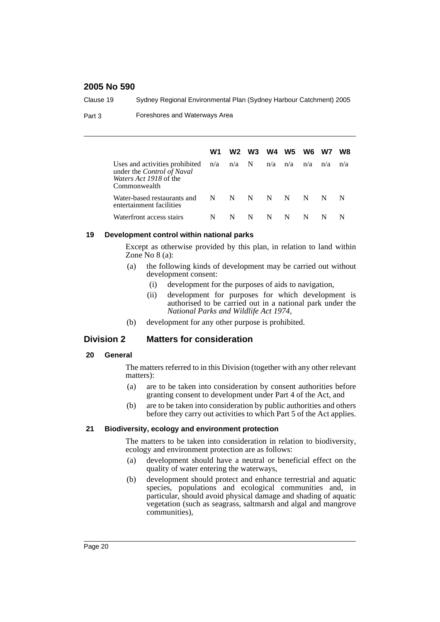Clause 19 Sydney Regional Environmental Plan (Sydney Harbour Catchment) 2005

Part 3 Foreshores and Waterways Area

|                                                                                                               | W1        | W2 | W3 | W4  | <b>W5</b> | W6  | W7  | W8  |
|---------------------------------------------------------------------------------------------------------------|-----------|----|----|-----|-----------|-----|-----|-----|
| Uses and activities prohibited<br>under the Control of Naval<br><i>Waters Act 1918</i> of the<br>Commonwealth | n/a n/a N |    |    | n/a | n/a       | n/a | n/a | n/a |
| Water-based restaurants and<br>entertainment facilities                                                       | N         | N  | N  | N   | N         | N   | N   | N   |
| Waterfront access stairs                                                                                      | N         | N  | N  | N   | N         |     |     |     |

#### **19 Development control within national parks**

Except as otherwise provided by this plan, in relation to land within Zone  $No 8 (a)$ :

- (a) the following kinds of development may be carried out without development consent:
	- (i) development for the purposes of aids to navigation,
	- (ii) development for purposes for which development is authorised to be carried out in a national park under the *National Parks and Wildlife Act 1974*,
- (b) development for any other purpose is prohibited.

# **Division 2 Matters for consideration**

#### **20 General**

The matters referred to in this Division (together with any other relevant matters):

- (a) are to be taken into consideration by consent authorities before granting consent to development under Part 4 of the Act, and
- (b) are to be taken into consideration by public authorities and others before they carry out activities to which Part 5 of the Act applies.

#### **21 Biodiversity, ecology and environment protection**

The matters to be taken into consideration in relation to biodiversity, ecology and environment protection are as follows:

- (a) development should have a neutral or beneficial effect on the quality of water entering the waterways,
- (b) development should protect and enhance terrestrial and aquatic species, populations and ecological communities and, in particular, should avoid physical damage and shading of aquatic vegetation (such as seagrass, saltmarsh and algal and mangrove communities),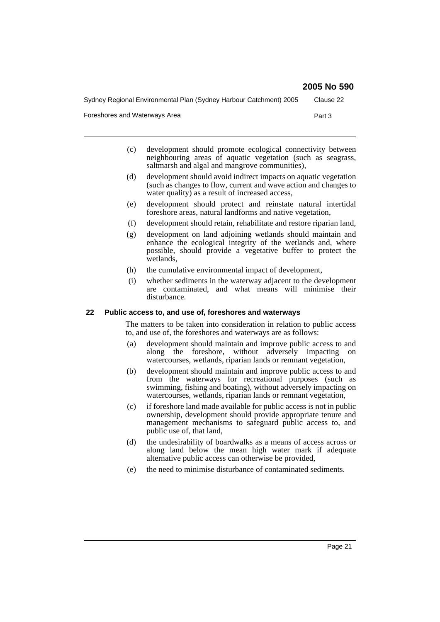Sydney Regional Environmental Plan (Sydney Harbour Catchment) 2005 Clause 22

Foreshores and Waterways Area **Part 3** Part 3

- (c) development should promote ecological connectivity between neighbouring areas of aquatic vegetation (such as seagrass, saltmarsh and algal and mangrove communities),
- (d) development should avoid indirect impacts on aquatic vegetation (such as changes to flow, current and wave action and changes to water quality) as a result of increased access,
- (e) development should protect and reinstate natural intertidal foreshore areas, natural landforms and native vegetation,
- (f) development should retain, rehabilitate and restore riparian land,
- (g) development on land adjoining wetlands should maintain and enhance the ecological integrity of the wetlands and, where possible, should provide a vegetative buffer to protect the wetlands,
- (h) the cumulative environmental impact of development,
- (i) whether sediments in the waterway adjacent to the development are contaminated, and what means will minimise their disturbance.

#### **22 Public access to, and use of, foreshores and waterways**

The matters to be taken into consideration in relation to public access to, and use of, the foreshores and waterways are as follows:

- (a) development should maintain and improve public access to and along the foreshore, without adversely impacting on watercourses, wetlands, riparian lands or remnant vegetation,
- (b) development should maintain and improve public access to and from the waterways for recreational purposes (such as swimming, fishing and boating), without adversely impacting on watercourses, wetlands, riparian lands or remnant vegetation,
- (c) if foreshore land made available for public access is not in public ownership, development should provide appropriate tenure and management mechanisms to safeguard public access to, and public use of, that land,
- (d) the undesirability of boardwalks as a means of access across or along land below the mean high water mark if adequate alternative public access can otherwise be provided,
- (e) the need to minimise disturbance of contaminated sediments.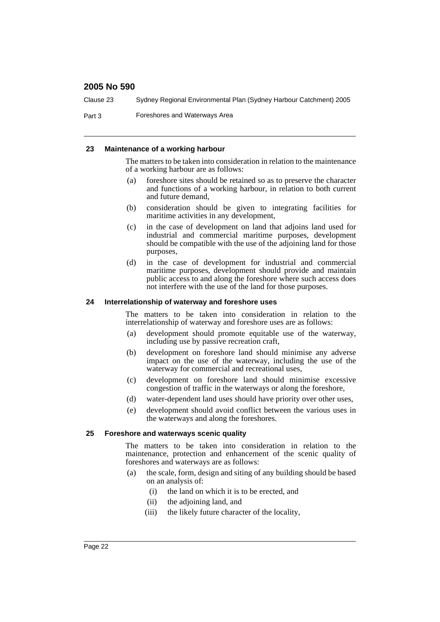Clause 23 Sydney Regional Environmental Plan (Sydney Harbour Catchment) 2005

Part 3 Foreshores and Waterways Area

#### **23 Maintenance of a working harbour**

The matters to be taken into consideration in relation to the maintenance of a working harbour are as follows:

- (a) foreshore sites should be retained so as to preserve the character and functions of a working harbour, in relation to both current and future demand,
- (b) consideration should be given to integrating facilities for maritime activities in any development,
- (c) in the case of development on land that adjoins land used for industrial and commercial maritime purposes, development should be compatible with the use of the adjoining land for those purposes,
- (d) in the case of development for industrial and commercial maritime purposes, development should provide and maintain public access to and along the foreshore where such access does not interfere with the use of the land for those purposes.

#### **24 Interrelationship of waterway and foreshore uses**

The matters to be taken into consideration in relation to the interrelationship of waterway and foreshore uses are as follows:

- (a) development should promote equitable use of the waterway, including use by passive recreation craft,
- (b) development on foreshore land should minimise any adverse impact on the use of the waterway, including the use of the waterway for commercial and recreational uses,
- (c) development on foreshore land should minimise excessive congestion of traffic in the waterways or along the foreshore,
- (d) water-dependent land uses should have priority over other uses,
- (e) development should avoid conflict between the various uses in the waterways and along the foreshores.

#### **25 Foreshore and waterways scenic quality**

The matters to be taken into consideration in relation to the maintenance, protection and enhancement of the scenic quality of foreshores and waterways are as follows:

- (a) the scale, form, design and siting of any building should be based on an analysis of:
	- (i) the land on which it is to be erected, and
	- (ii) the adjoining land, and
	- (iii) the likely future character of the locality,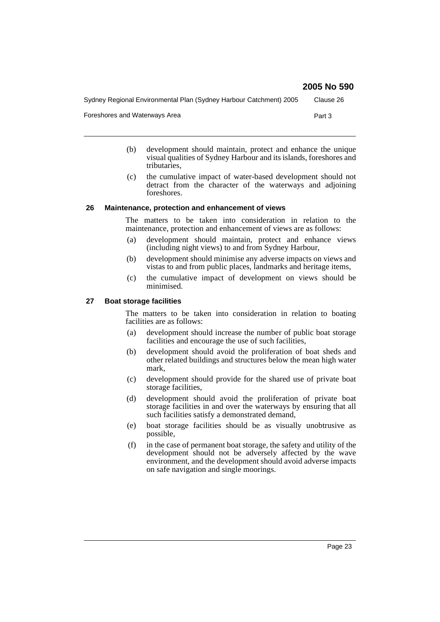Sydney Regional Environmental Plan (Sydney Harbour Catchment) 2005 Clause 26

Foreshores and Waterways Area **Part 3** Part 3

- (b) development should maintain, protect and enhance the unique visual qualities of Sydney Harbour and its islands, foreshores and tributaries,
- (c) the cumulative impact of water-based development should not detract from the character of the waterways and adjoining foreshores.

#### **26 Maintenance, protection and enhancement of views**

The matters to be taken into consideration in relation to the maintenance, protection and enhancement of views are as follows:

- (a) development should maintain, protect and enhance views (including night views) to and from Sydney Harbour,
- (b) development should minimise any adverse impacts on views and vistas to and from public places, landmarks and heritage items,
- (c) the cumulative impact of development on views should be minimised.

#### **27 Boat storage facilities**

The matters to be taken into consideration in relation to boating facilities are as follows:

- (a) development should increase the number of public boat storage facilities and encourage the use of such facilities,
- (b) development should avoid the proliferation of boat sheds and other related buildings and structures below the mean high water mark,
- (c) development should provide for the shared use of private boat storage facilities,
- (d) development should avoid the proliferation of private boat storage facilities in and over the waterways by ensuring that all such facilities satisfy a demonstrated demand,
- (e) boat storage facilities should be as visually unobtrusive as possible,
- (f) in the case of permanent boat storage, the safety and utility of the development should not be adversely affected by the wave environment, and the development should avoid adverse impacts on safe navigation and single moorings.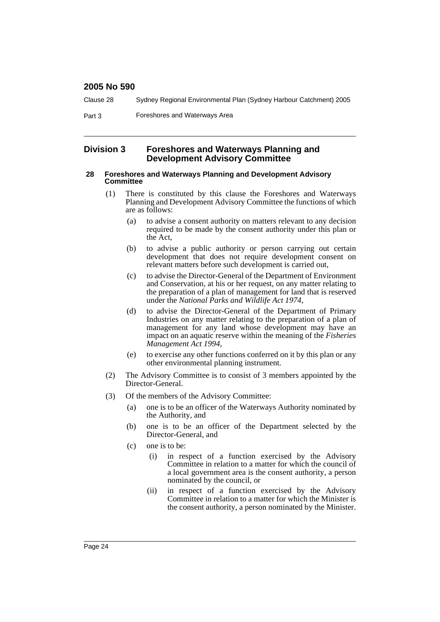| Clause 28 | Sydney Regional Environmental Plan (Sydney Harbour Catchment) 2005 |  |
|-----------|--------------------------------------------------------------------|--|
|-----------|--------------------------------------------------------------------|--|

Part 3 Foreshores and Waterways Area

#### **Division 3 Foreshores and Waterways Planning and Development Advisory Committee**

#### **28 Foreshores and Waterways Planning and Development Advisory Committee**

- (1) There is constituted by this clause the Foreshores and Waterways Planning and Development Advisory Committee the functions of which are as follows:
	- (a) to advise a consent authority on matters relevant to any decision required to be made by the consent authority under this plan or the Act,
	- (b) to advise a public authority or person carrying out certain development that does not require development consent on relevant matters before such development is carried out,
	- (c) to advise the Director-General of the Department of Environment and Conservation, at his or her request, on any matter relating to the preparation of a plan of management for land that is reserved under the *National Parks and Wildlife Act 1974*,
	- (d) to advise the Director-General of the Department of Primary Industries on any matter relating to the preparation of a plan of management for any land whose development may have an impact on an aquatic reserve within the meaning of the *Fisheries Management Act 1994*,
	- (e) to exercise any other functions conferred on it by this plan or any other environmental planning instrument.
- (2) The Advisory Committee is to consist of 3 members appointed by the Director-General.
- (3) Of the members of the Advisory Committee:
	- (a) one is to be an officer of the Waterways Authority nominated by the Authority, and
	- (b) one is to be an officer of the Department selected by the Director-General, and
	- (c) one is to be:
		- (i) in respect of a function exercised by the Advisory Committee in relation to a matter for which the council of a local government area is the consent authority, a person nominated by the council, or
		- (ii) in respect of a function exercised by the Advisory Committee in relation to a matter for which the Minister is the consent authority, a person nominated by the Minister.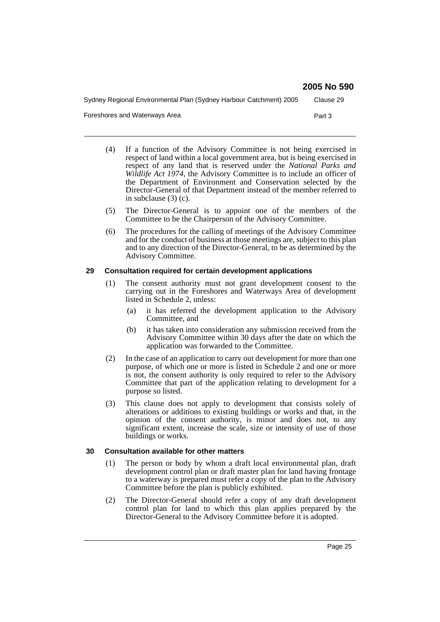Sydney Regional Environmental Plan (Sydney Harbour Catchment) 2005 Clause 29

Foreshores and Waterways Area **Part 3** Part 3

- (4) If a function of the Advisory Committee is not being exercised in respect of land within a local government area, but is being exercised in respect of any land that is reserved under the *National Parks and Wildlife Act 1974*, the Advisory Committee is to include an officer of the Department of Environment and Conservation selected by the Director-General of that Department instead of the member referred to in subclause (3) (c).
- (5) The Director-General is to appoint one of the members of the Committee to be the Chairperson of the Advisory Committee.
- (6) The procedures for the calling of meetings of the Advisory Committee and for the conduct of business at those meetings are, subject to this plan and to any direction of the Director-General, to be as determined by the Advisory Committee.

#### **29 Consultation required for certain development applications**

- (1) The consent authority must not grant development consent to the carrying out in the Foreshores and Waterways Area of development listed in Schedule 2, unless:
	- (a) it has referred the development application to the Advisory Committee, and
	- (b) it has taken into consideration any submission received from the Advisory Committee within 30 days after the date on which the application was forwarded to the Committee.
- (2) In the case of an application to carry out development for more than one purpose, of which one or more is listed in Schedule 2 and one or more is not, the consent authority is only required to refer to the Advisory Committee that part of the application relating to development for a purpose so listed.
- (3) This clause does not apply to development that consists solely of alterations or additions to existing buildings or works and that, in the opinion of the consent authority, is minor and does not, to any significant extent, increase the scale, size or intensity of use of those buildings or works.

#### **30 Consultation available for other matters**

- (1) The person or body by whom a draft local environmental plan, draft development control plan or draft master plan for land having frontage to a waterway is prepared must refer a copy of the plan to the Advisory Committee before the plan is publicly exhibited.
- (2) The Director-General should refer a copy of any draft development control plan for land to which this plan applies prepared by the Director-General to the Advisory Committee before it is adopted.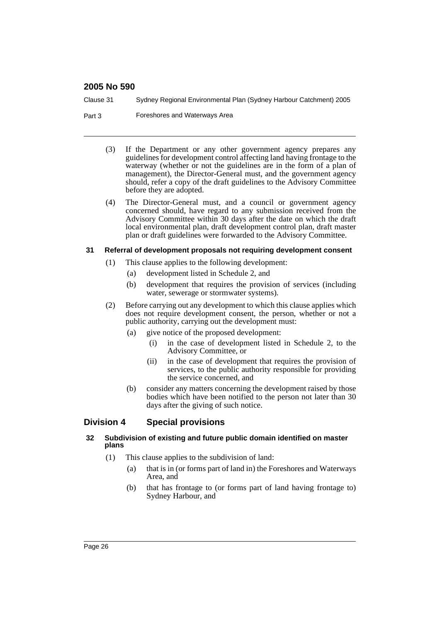Clause 31 Sydney Regional Environmental Plan (Sydney Harbour Catchment) 2005

- Part 3 Foreshores and Waterways Area
	- (3) If the Department or any other government agency prepares any guidelines for development control affecting land having frontage to the waterway (whether or not the guidelines are in the form of a plan of management), the Director-General must, and the government agency should, refer a copy of the draft guidelines to the Advisory Committee before they are adopted.
	- (4) The Director-General must, and a council or government agency concerned should, have regard to any submission received from the Advisory Committee within 30 days after the date on which the draft local environmental plan, draft development control plan, draft master plan or draft guidelines were forwarded to the Advisory Committee.

#### **31 Referral of development proposals not requiring development consent**

- (1) This clause applies to the following development:
	- (a) development listed in Schedule 2, and
	- (b) development that requires the provision of services (including water, sewerage or stormwater systems).
- (2) Before carrying out any development to which this clause applies which does not require development consent, the person, whether or not a public authority, carrying out the development must:
	- (a) give notice of the proposed development:
		- (i) in the case of development listed in Schedule 2, to the Advisory Committee, or
		- (ii) in the case of development that requires the provision of services, to the public authority responsible for providing the service concerned, and
	- (b) consider any matters concerning the development raised by those bodies which have been notified to the person not later than 30 days after the giving of such notice.

# **Division 4 Special provisions**

#### **32 Subdivision of existing and future public domain identified on master plans**

- (1) This clause applies to the subdivision of land:
	- (a) that is in (or forms part of land in) the Foreshores and Waterways Area, and
	- (b) that has frontage to (or forms part of land having frontage to) Sydney Harbour, and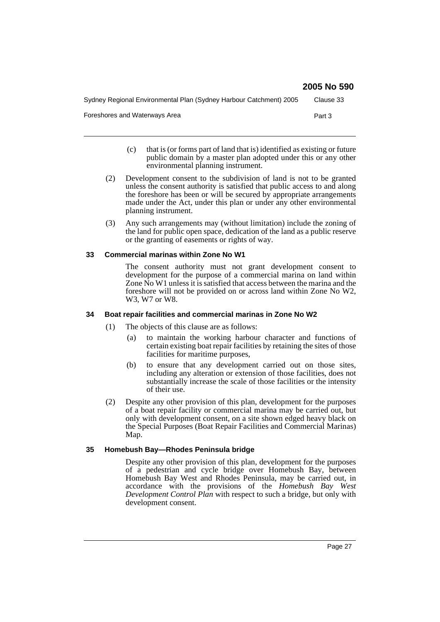| Sydney Regional Environmental Plan (Sydney Harbour Catchment) 2005 | Clause 33 |
|--------------------------------------------------------------------|-----------|
| Foreshores and Waterways Area                                      | Part 3    |

- (c) that is (or forms part of land that is) identified as existing or future public domain by a master plan adopted under this or any other environmental planning instrument.
- (2) Development consent to the subdivision of land is not to be granted unless the consent authority is satisfied that public access to and along the foreshore has been or will be secured by appropriate arrangements made under the Act, under this plan or under any other environmental planning instrument.
- (3) Any such arrangements may (without limitation) include the zoning of the land for public open space, dedication of the land as a public reserve or the granting of easements or rights of way.

#### **33 Commercial marinas within Zone No W1**

The consent authority must not grant development consent to development for the purpose of a commercial marina on land within Zone No W1 unless it is satisfied that access between the marina and the foreshore will not be provided on or across land within Zone No W2, W3, W7 or W8.

#### **34 Boat repair facilities and commercial marinas in Zone No W2**

- (1) The objects of this clause are as follows:
	- (a) to maintain the working harbour character and functions of certain existing boat repair facilities by retaining the sites of those facilities for maritime purposes,
	- (b) to ensure that any development carried out on those sites, including any alteration or extension of those facilities, does not substantially increase the scale of those facilities or the intensity of their use.
- (2) Despite any other provision of this plan, development for the purposes of a boat repair facility or commercial marina may be carried out, but only with development consent, on a site shown edged heavy black on the Special Purposes (Boat Repair Facilities and Commercial Marinas) Map.

#### **35 Homebush Bay—Rhodes Peninsula bridge**

Despite any other provision of this plan, development for the purposes of a pedestrian and cycle bridge over Homebush Bay, between Homebush Bay West and Rhodes Peninsula, may be carried out, in accordance with the provisions of the *Homebush Bay West Development Control Plan* with respect to such a bridge, but only with development consent.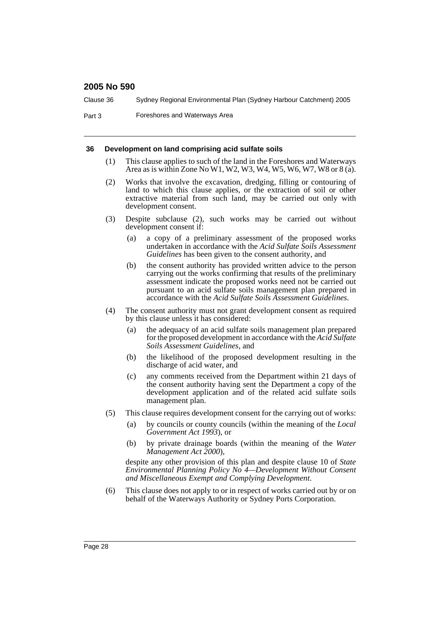Clause 36 Sydney Regional Environmental Plan (Sydney Harbour Catchment) 2005

Part 3 Foreshores and Waterways Area

#### **36 Development on land comprising acid sulfate soils**

- (1) This clause applies to such of the land in the Foreshores and Waterways Area as is within Zone No W1, W2, W3, W4, W5, W6, W7, W8 or 8 (a).
- (2) Works that involve the excavation, dredging, filling or contouring of land to which this clause applies, or the extraction of soil or other extractive material from such land, may be carried out only with development consent.
- (3) Despite subclause (2), such works may be carried out without development consent if:
	- (a) a copy of a preliminary assessment of the proposed works undertaken in accordance with the *Acid Sulfate Soils Assessment Guidelines* has been given to the consent authority, and
	- (b) the consent authority has provided written advice to the person carrying out the works confirming that results of the preliminary assessment indicate the proposed works need not be carried out pursuant to an acid sulfate soils management plan prepared in accordance with the *Acid Sulfate Soils Assessment Guidelines*.
- (4) The consent authority must not grant development consent as required by this clause unless it has considered:
	- (a) the adequacy of an acid sulfate soils management plan prepared for the proposed development in accordance with the *Acid Sulfate Soils Assessment Guidelines*, and
	- (b) the likelihood of the proposed development resulting in the discharge of acid water, and
	- (c) any comments received from the Department within 21 days of the consent authority having sent the Department a copy of the development application and of the related acid sulfate soils management plan.
- (5) This clause requires development consent for the carrying out of works:
	- (a) by councils or county councils (within the meaning of the *Local Government Act 1993*), or
	- (b) by private drainage boards (within the meaning of the *Water Management Act 2000*),

despite any other provision of this plan and despite clause 10 of *State Environmental Planning Policy No 4—Development Without Consent and Miscellaneous Exempt and Complying Development*.

(6) This clause does not apply to or in respect of works carried out by or on behalf of the Waterways Authority or Sydney Ports Corporation.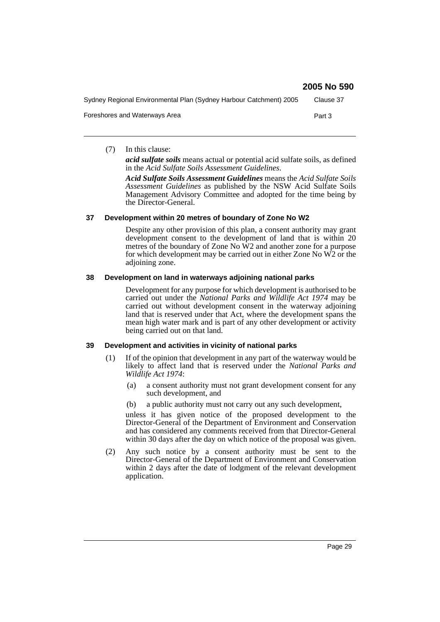|                                                                    | 2005 No 590 |
|--------------------------------------------------------------------|-------------|
| Sydney Regional Environmental Plan (Sydney Harbour Catchment) 2005 | Clause 37   |
| Foreshores and Waterways Area                                      | Part 3      |

(7) In this clause:

*acid sulfate soils* means actual or potential acid sulfate soils, as defined in the *Acid Sulfate Soils Assessment Guidelines*.

*Acid Sulfate Soils Assessment Guidelines* means the *Acid Sulfate Soils Assessment Guidelines* as published by the NSW Acid Sulfate Soils Management Advisory Committee and adopted for the time being by the Director-General.

#### **37 Development within 20 metres of boundary of Zone No W2**

Despite any other provision of this plan, a consent authority may grant development consent to the development of land that is within 20 metres of the boundary of Zone No W2 and another zone for a purpose for which development may be carried out in either Zone No W2 or the adjoining zone.

#### **38 Development on land in waterways adjoining national parks**

Development for any purpose for which development is authorised to be carried out under the *National Parks and Wildlife Act 1974* may be carried out without development consent in the waterway adjoining land that is reserved under that Act, where the development spans the mean high water mark and is part of any other development or activity being carried out on that land.

#### **39 Development and activities in vicinity of national parks**

- (1) If of the opinion that development in any part of the waterway would be likely to affect land that is reserved under the *National Parks and Wildlife Act 1974*:
	- (a) a consent authority must not grant development consent for any such development, and
	- (b) a public authority must not carry out any such development,

unless it has given notice of the proposed development to the Director-General of the Department of Environment and Conservation and has considered any comments received from that Director-General within 30 days after the day on which notice of the proposal was given.

(2) Any such notice by a consent authority must be sent to the Director-General of the Department of Environment and Conservation within 2 days after the date of lodgment of the relevant development application.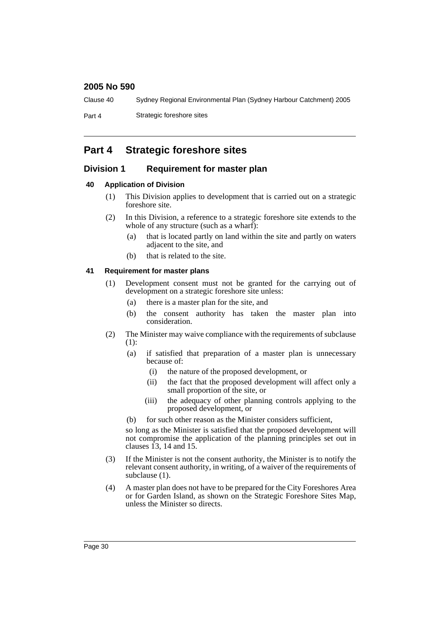Clause 40 Sydney Regional Environmental Plan (Sydney Harbour Catchment) 2005

Part 4 Strategic foreshore sites

# **Part 4 Strategic foreshore sites**

# **Division 1 Requirement for master plan**

# **40 Application of Division**

- (1) This Division applies to development that is carried out on a strategic foreshore site.
- (2) In this Division, a reference to a strategic foreshore site extends to the whole of any structure (such as a wharf):
	- (a) that is located partly on land within the site and partly on waters adjacent to the site, and
	- (b) that is related to the site.

# **41 Requirement for master plans**

- (1) Development consent must not be granted for the carrying out of development on a strategic foreshore site unless:
	- (a) there is a master plan for the site, and
	- (b) the consent authority has taken the master plan into consideration.
- (2) The Minister may waive compliance with the requirements of subclause (1):
	- (a) if satisfied that preparation of a master plan is unnecessary because of:
		- (i) the nature of the proposed development, or
		- (ii) the fact that the proposed development will affect only a small proportion of the site, or
		- (iii) the adequacy of other planning controls applying to the proposed development, or
	- (b) for such other reason as the Minister considers sufficient,

so long as the Minister is satisfied that the proposed development will not compromise the application of the planning principles set out in clauses  $\overline{13}$ , 14 and 15.

- (3) If the Minister is not the consent authority, the Minister is to notify the relevant consent authority, in writing, of a waiver of the requirements of subclause  $(1)$ .
- (4) A master plan does not have to be prepared for the City Foreshores Area or for Garden Island, as shown on the Strategic Foreshore Sites Map, unless the Minister so directs.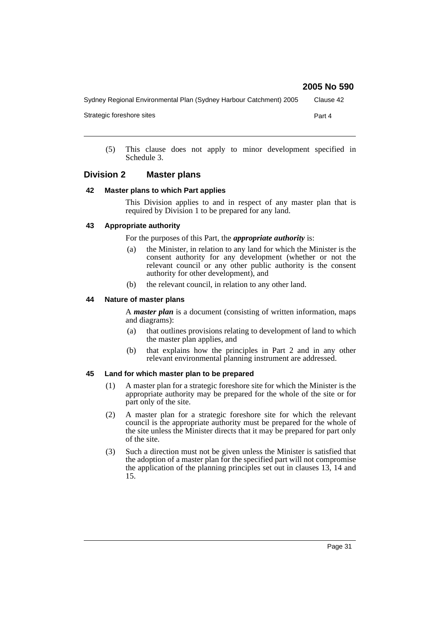Sydney Regional Environmental Plan (Sydney Harbour Catchment) 2005 Clause 42

Strategic foreshore sites **Part 4** 

(5) This clause does not apply to minor development specified in Schedule 3.

### **Division 2 Master plans**

#### **42 Master plans to which Part applies**

This Division applies to and in respect of any master plan that is required by Division 1 to be prepared for any land.

#### **43 Appropriate authority**

For the purposes of this Part, the *appropriate authority* is:

- (a) the Minister, in relation to any land for which the Minister is the consent authority for any development (whether or not the relevant council or any other public authority is the consent authority for other development), and
- (b) the relevant council, in relation to any other land.

#### **44 Nature of master plans**

A *master plan* is a document (consisting of written information, maps and diagrams):

- (a) that outlines provisions relating to development of land to which the master plan applies, and
- (b) that explains how the principles in Part 2 and in any other relevant environmental planning instrument are addressed.

#### **45 Land for which master plan to be prepared**

- (1) A master plan for a strategic foreshore site for which the Minister is the appropriate authority may be prepared for the whole of the site or for part only of the site.
- (2) A master plan for a strategic foreshore site for which the relevant council is the appropriate authority must be prepared for the whole of the site unless the Minister directs that it may be prepared for part only of the site.
- (3) Such a direction must not be given unless the Minister is satisfied that the adoption of a master plan for the specified part will not compromise the application of the planning principles set out in clauses 13, 14 and 15.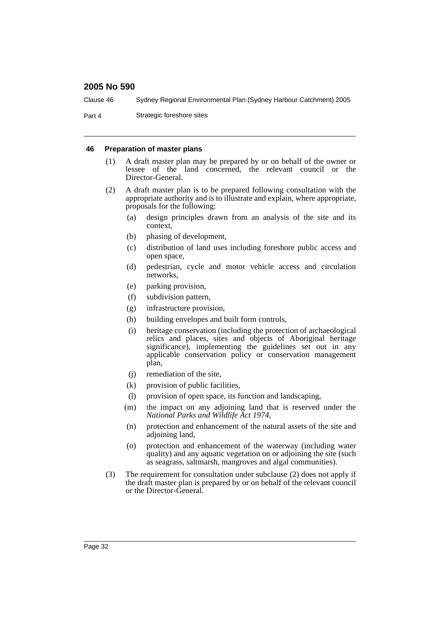Clause 46 Sydney Regional Environmental Plan (Sydney Harbour Catchment) 2005

Part 4 Strategic foreshore sites

#### **46 Preparation of master plans**

- (1) A draft master plan may be prepared by or on behalf of the owner or lessee of the land concerned, the relevant council or the Director-General.
- (2) A draft master plan is to be prepared following consultation with the appropriate authority and is to illustrate and explain, where appropriate, proposals for the following:
	- (a) design principles drawn from an analysis of the site and its context,
	- (b) phasing of development,
	- (c) distribution of land uses including foreshore public access and open space,
	- (d) pedestrian, cycle and motor vehicle access and circulation networks,
	- (e) parking provision,
	- (f) subdivision pattern,
	- (g) infrastructure provision,
	- (h) building envelopes and built form controls,
	- (i) heritage conservation (including the protection of archaeological relics and places, sites and objects of Aboriginal heritage significance), implementing the guidelines set out in any applicable conservation policy or conservation management plan,
	- (j) remediation of the site,
	- (k) provision of public facilities,
	- (l) provision of open space, its function and landscaping,
	- (m) the impact on any adjoining land that is reserved under the *National Parks and Wildlife Act 1974*,
	- (n) protection and enhancement of the natural assets of the site and adioining land,
	- (o) protection and enhancement of the waterway (including water quality) and any aquatic vegetation on or adjoining the site (such as seagrass, saltmarsh, mangroves and algal communities).
- (3) The requirement for consultation under subclause (2) does not apply if the draft master plan is prepared by or on behalf of the relevant council or the Director-General.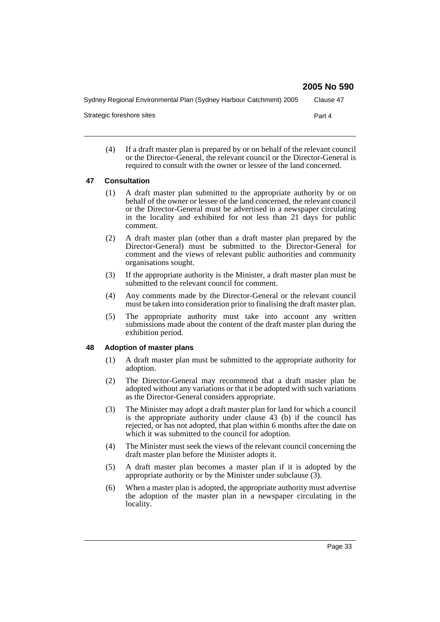Sydney Regional Environmental Plan (Sydney Harbour Catchment) 2005 Clause 47 Strategic foreshore sites **Part 4** 

(4) If a draft master plan is prepared by or on behalf of the relevant council or the Director-General, the relevant council or the Director-General is required to consult with the owner or lessee of the land concerned.

#### **47 Consultation**

- (1) A draft master plan submitted to the appropriate authority by or on behalf of the owner or lessee of the land concerned, the relevant council or the Director-General must be advertised in a newspaper circulating in the locality and exhibited for not less than 21 days for public comment.
- (2) A draft master plan (other than a draft master plan prepared by the Director-General) must be submitted to the Director-General for comment and the views of relevant public authorities and community organisations sought.
- (3) If the appropriate authority is the Minister, a draft master plan must be submitted to the relevant council for comment.
- (4) Any comments made by the Director-General or the relevant council must be taken into consideration prior to finalising the draft master plan.
- (5) The appropriate authority must take into account any written submissions made about the content of the draft master plan during the exhibition period.

#### **48 Adoption of master plans**

- (1) A draft master plan must be submitted to the appropriate authority for adoption.
- (2) The Director-General may recommend that a draft master plan be adopted without any variations or that it be adopted with such variations as the Director-General considers appropriate.
- (3) The Minister may adopt a draft master plan for land for which a council is the appropriate authority under clause 43 (b) if the council has rejected, or has not adopted, that plan within 6 months after the date on which it was submitted to the council for adoption.
- (4) The Minister must seek the views of the relevant council concerning the draft master plan before the Minister adopts it.
- (5) A draft master plan becomes a master plan if it is adopted by the appropriate authority or by the Minister under subclause (3).
- (6) When a master plan is adopted, the appropriate authority must advertise the adoption of the master plan in a newspaper circulating in the locality.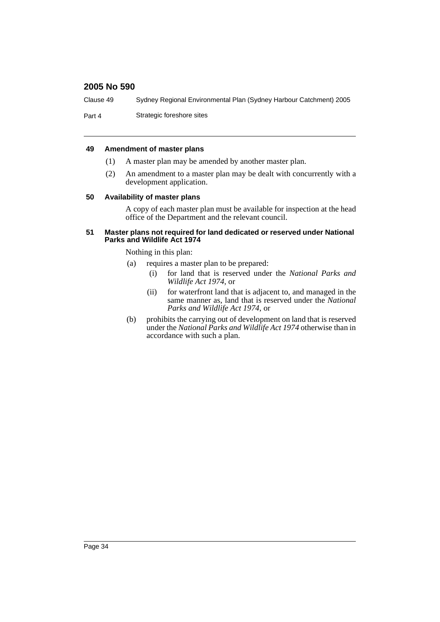Clause 49 Sydney Regional Environmental Plan (Sydney Harbour Catchment) 2005

Part 4 Strategic foreshore sites

#### **49 Amendment of master plans**

- (1) A master plan may be amended by another master plan.
- (2) An amendment to a master plan may be dealt with concurrently with a development application.

#### **50 Availability of master plans**

A copy of each master plan must be available for inspection at the head office of the Department and the relevant council.

#### **51 Master plans not required for land dedicated or reserved under National Parks and Wildlife Act 1974**

Nothing in this plan:

- (a) requires a master plan to be prepared:
	- (i) for land that is reserved under the *National Parks and Wildlife Act 1974*, or
	- (ii) for waterfront land that is adjacent to, and managed in the same manner as, land that is reserved under the *National Parks and Wildlife Act 1974*, or
- (b) prohibits the carrying out of development on land that is reserved under the *National Parks and Wildlife Act 1974* otherwise than in accordance with such a plan.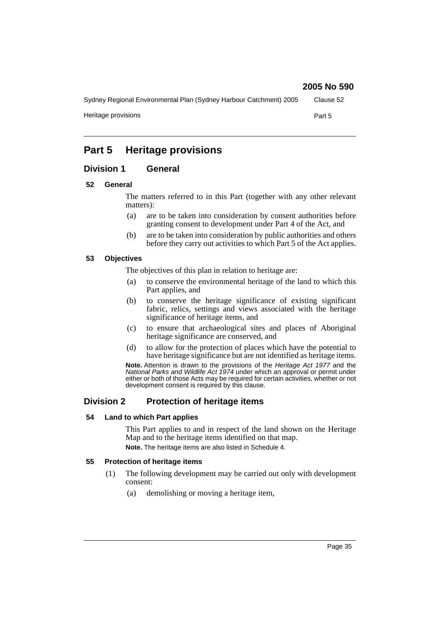Sydney Regional Environmental Plan (Sydney Harbour Catchment) 2005 Clause 52 Heritage provisions **Part 5** 

# **Part 5 Heritage provisions**

# **Division 1 General**

#### **52 General**

The matters referred to in this Part (together with any other relevant matters):

- (a) are to be taken into consideration by consent authorities before granting consent to development under Part 4 of the Act, and
- (b) are to be taken into consideration by public authorities and others before they carry out activities to which Part 5 of the Act applies.

#### **53 Objectives**

The objectives of this plan in relation to heritage are:

- (a) to conserve the environmental heritage of the land to which this Part applies, and
- (b) to conserve the heritage significance of existing significant fabric, relics, settings and views associated with the heritage significance of heritage items, and
- (c) to ensure that archaeological sites and places of Aboriginal heritage significance are conserved, and
- (d) to allow for the protection of places which have the potential to have heritage significance but are not identified as heritage items.

**Note.** Attention is drawn to the provisions of the *Heritage Act 1977* and the *National Parks and Wildlife Act 1974* under which an approval or permit under either or both of those Acts may be required for certain activities, whether or not development consent is required by this clause.

# **Division 2 Protection of heritage items**

#### **54 Land to which Part applies**

This Part applies to and in respect of the land shown on the Heritage Map and to the heritage items identified on that map. **Note.** The heritage items are also listed in Schedule 4.

#### **55 Protection of heritage items**

- (1) The following development may be carried out only with development consent:
	- (a) demolishing or moving a heritage item,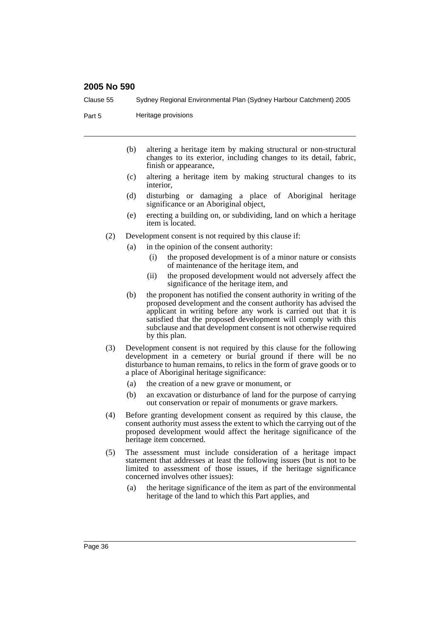Clause 55 Sydney Regional Environmental Plan (Sydney Harbour Catchment) 2005

Part 5 **Heritage provisions** 

- (b) altering a heritage item by making structural or non-structural changes to its exterior, including changes to its detail, fabric, finish or appearance,
- (c) altering a heritage item by making structural changes to its interior,
- (d) disturbing or damaging a place of Aboriginal heritage significance or an Aboriginal object,
- (e) erecting a building on, or subdividing, land on which a heritage item is located.
- (2) Development consent is not required by this clause if:
	- (a) in the opinion of the consent authority:
		- (i) the proposed development is of a minor nature or consists of maintenance of the heritage item, and
		- (ii) the proposed development would not adversely affect the significance of the heritage item, and
	- (b) the proponent has notified the consent authority in writing of the proposed development and the consent authority has advised the applicant in writing before any work is carried out that it is satisfied that the proposed development will comply with this subclause and that development consent is not otherwise required by this plan.
- (3) Development consent is not required by this clause for the following development in a cemetery or burial ground if there will be no disturbance to human remains, to relics in the form of grave goods or to a place of Aboriginal heritage significance:
	- (a) the creation of a new grave or monument, or
	- (b) an excavation or disturbance of land for the purpose of carrying out conservation or repair of monuments or grave markers.
- (4) Before granting development consent as required by this clause, the consent authority must assess the extent to which the carrying out of the proposed development would affect the heritage significance of the heritage item concerned.
- (5) The assessment must include consideration of a heritage impact statement that addresses at least the following issues (but is not to be limited to assessment of those issues, if the heritage significance concerned involves other issues):
	- (a) the heritage significance of the item as part of the environmental heritage of the land to which this Part applies, and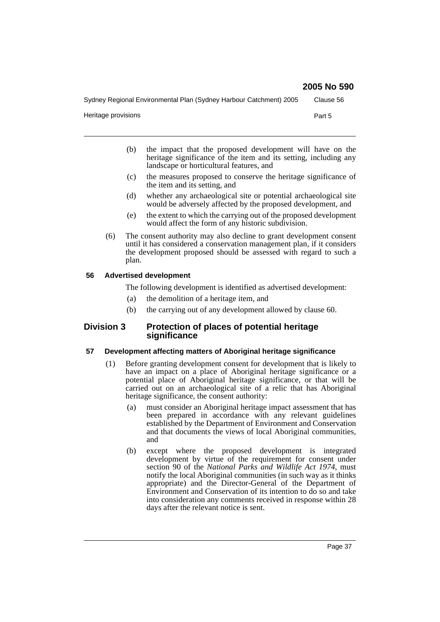Sydney Regional Environmental Plan (Sydney Harbour Catchment) 2005 Clause 56

Heritage provisions **Part 5** 

- (b) the impact that the proposed development will have on the heritage significance of the item and its setting, including any landscape or horticultural features, and
- (c) the measures proposed to conserve the heritage significance of the item and its setting, and
- (d) whether any archaeological site or potential archaeological site would be adversely affected by the proposed development, and
- (e) the extent to which the carrying out of the proposed development would affect the form of any historic subdivision.
- (6) The consent authority may also decline to grant development consent until it has considered a conservation management plan, if it considers the development proposed should be assessed with regard to such a plan.

### **56 Advertised development**

The following development is identified as advertised development:

- (a) the demolition of a heritage item, and
- (b) the carrying out of any development allowed by clause 60.

## **Division 3 Protection of places of potential heritage significance**

### **57 Development affecting matters of Aboriginal heritage significance**

- (1) Before granting development consent for development that is likely to have an impact on a place of Aboriginal heritage significance or a potential place of Aboriginal heritage significance, or that will be carried out on an archaeological site of a relic that has Aboriginal heritage significance, the consent authority:
	- (a) must consider an Aboriginal heritage impact assessment that has been prepared in accordance with any relevant guidelines established by the Department of Environment and Conservation and that documents the views of local Aboriginal communities, and
	- (b) except where the proposed development is integrated development by virtue of the requirement for consent under section 90 of the *National Parks and Wildlife Act 1974*, must notify the local Aboriginal communities (in such way as it thinks appropriate) and the Director-General of the Department of Environment and Conservation of its intention to do so and take into consideration any comments received in response within 28 days after the relevant notice is sent.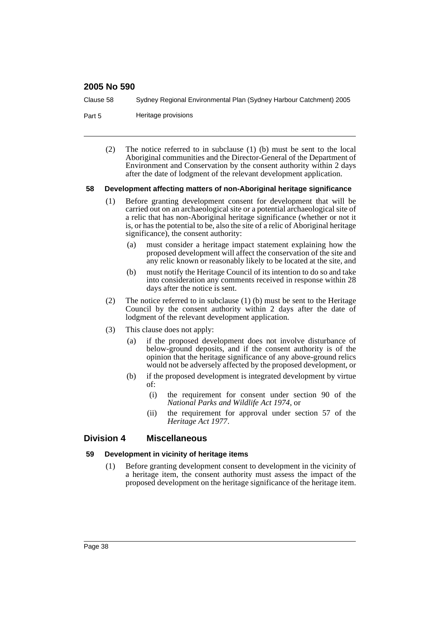Clause 58 Sydney Regional Environmental Plan (Sydney Harbour Catchment) 2005

- Part 5 **Heritage provisions** 
	- (2) The notice referred to in subclause (1) (b) must be sent to the local Aboriginal communities and the Director-General of the Department of Environment and Conservation by the consent authority within 2 days after the date of lodgment of the relevant development application.

#### **58 Development affecting matters of non-Aboriginal heritage significance**

- (1) Before granting development consent for development that will be carried out on an archaeological site or a potential archaeological site of a relic that has non-Aboriginal heritage significance (whether or not it is, or has the potential to be, also the site of a relic of Aboriginal heritage significance), the consent authority:
	- (a) must consider a heritage impact statement explaining how the proposed development will affect the conservation of the site and any relic known or reasonably likely to be located at the site, and
	- (b) must notify the Heritage Council of its intention to do so and take into consideration any comments received in response within 28 days after the notice is sent.
- (2) The notice referred to in subclause (1) (b) must be sent to the Heritage Council by the consent authority within 2 days after the date of lodgment of the relevant development application.
- (3) This clause does not apply:
	- (a) if the proposed development does not involve disturbance of below-ground deposits, and if the consent authority is of the opinion that the heritage significance of any above-ground relics would not be adversely affected by the proposed development, or
	- (b) if the proposed development is integrated development by virtue of:
		- (i) the requirement for consent under section 90 of the *National Parks and Wildlife Act 1974*, or
		- (ii) the requirement for approval under section 57 of the *Heritage Act 1977*.

### **Division 4 Miscellaneous**

#### **59 Development in vicinity of heritage items**

(1) Before granting development consent to development in the vicinity of a heritage item, the consent authority must assess the impact of the proposed development on the heritage significance of the heritage item.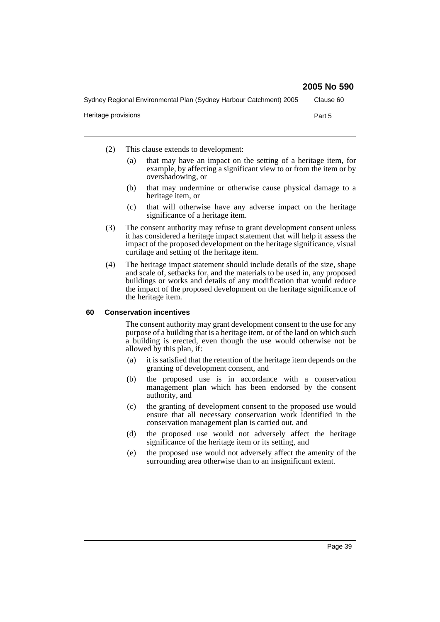- (2) This clause extends to development:
	- (a) that may have an impact on the setting of a heritage item, for example, by affecting a significant view to or from the item or by overshadowing, or
	- (b) that may undermine or otherwise cause physical damage to a heritage item, or
	- (c) that will otherwise have any adverse impact on the heritage significance of a heritage item.
- (3) The consent authority may refuse to grant development consent unless it has considered a heritage impact statement that will help it assess the impact of the proposed development on the heritage significance, visual curtilage and setting of the heritage item.
- (4) The heritage impact statement should include details of the size, shape and scale of, setbacks for, and the materials to be used in, any proposed buildings or works and details of any modification that would reduce the impact of the proposed development on the heritage significance of the heritage item.

### **60 Conservation incentives**

The consent authority may grant development consent to the use for any purpose of a building that is a heritage item, or of the land on which such a building is erected, even though the use would otherwise not be allowed by this plan, if:

- (a) it is satisfied that the retention of the heritage item depends on the granting of development consent, and
- (b) the proposed use is in accordance with a conservation management plan which has been endorsed by the consent authority, and
- (c) the granting of development consent to the proposed use would ensure that all necessary conservation work identified in the conservation management plan is carried out, and
- (d) the proposed use would not adversely affect the heritage significance of the heritage item or its setting, and
- (e) the proposed use would not adversely affect the amenity of the surrounding area otherwise than to an insignificant extent.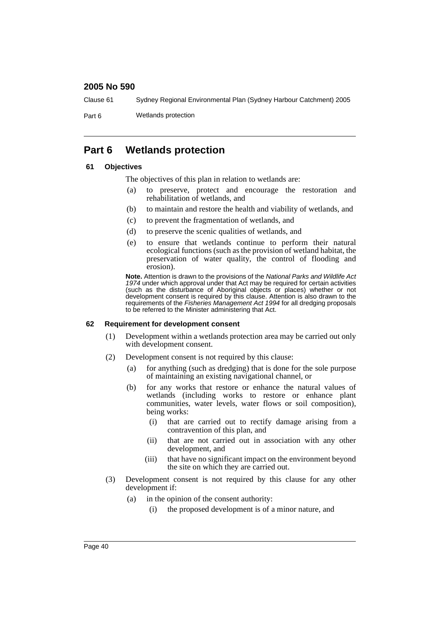Clause 61 Sydney Regional Environmental Plan (Sydney Harbour Catchment) 2005

Part 6 Wetlands protection

# **Part 6 Wetlands protection**

### **61 Objectives**

The objectives of this plan in relation to wetlands are:

- (a) to preserve, protect and encourage the restoration and rehabilitation of wetlands, and
- (b) to maintain and restore the health and viability of wetlands, and
- (c) to prevent the fragmentation of wetlands, and
- (d) to preserve the scenic qualities of wetlands, and
- (e) to ensure that wetlands continue to perform their natural ecological functions (such as the provision of wetland habitat, the preservation of water quality, the control of flooding and erosion).

**Note.** Attention is drawn to the provisions of the *National Parks and Wildlife Act 1974* under which approval under that Act may be required for certain activities (such as the disturbance of Aboriginal objects or places) whether or not development consent is required by this clause. Attention is also drawn to the requirements of the *Fisheries Management Act 1994* for all dredging proposals to be referred to the Minister administering that Act.

#### **62 Requirement for development consent**

- (1) Development within a wetlands protection area may be carried out only with development consent.
- (2) Development consent is not required by this clause:
	- (a) for anything (such as dredging) that is done for the sole purpose of maintaining an existing navigational channel, or
	- (b) for any works that restore or enhance the natural values of wetlands (including works to restore or enhance plant communities, water levels, water flows or soil composition), being works:
		- (i) that are carried out to rectify damage arising from a contravention of this plan, and
		- (ii) that are not carried out in association with any other development, and
		- (iii) that have no significant impact on the environment beyond the site on which they are carried out.
- (3) Development consent is not required by this clause for any other development if:
	- (a) in the opinion of the consent authority:
		- (i) the proposed development is of a minor nature, and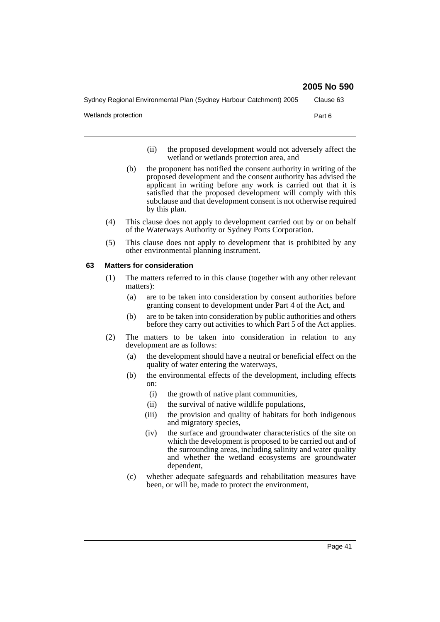Sydney Regional Environmental Plan (Sydney Harbour Catchment) 2005 Clause 63

Wetlands protection **Part 6** 

- (ii) the proposed development would not adversely affect the wetland or wetlands protection area, and
- (b) the proponent has notified the consent authority in writing of the proposed development and the consent authority has advised the applicant in writing before any work is carried out that it is satisfied that the proposed development will comply with this subclause and that development consent is not otherwise required by this plan.
- (4) This clause does not apply to development carried out by or on behalf of the Waterways Authority or Sydney Ports Corporation.
- (5) This clause does not apply to development that is prohibited by any other environmental planning instrument.

### **63 Matters for consideration**

- (1) The matters referred to in this clause (together with any other relevant matters):
	- (a) are to be taken into consideration by consent authorities before granting consent to development under Part 4 of the Act, and
	- (b) are to be taken into consideration by public authorities and others before they carry out activities to which Part 5 of the Act applies.
- (2) The matters to be taken into consideration in relation to any development are as follows:
	- (a) the development should have a neutral or beneficial effect on the quality of water entering the waterways,
	- (b) the environmental effects of the development, including effects on:
		- (i) the growth of native plant communities,
		- (ii) the survival of native wildlife populations,
		- (iii) the provision and quality of habitats for both indigenous and migratory species,
		- (iv) the surface and groundwater characteristics of the site on which the development is proposed to be carried out and of the surrounding areas, including salinity and water quality and whether the wetland ecosystems are groundwater dependent,
	- (c) whether adequate safeguards and rehabilitation measures have been, or will be, made to protect the environment,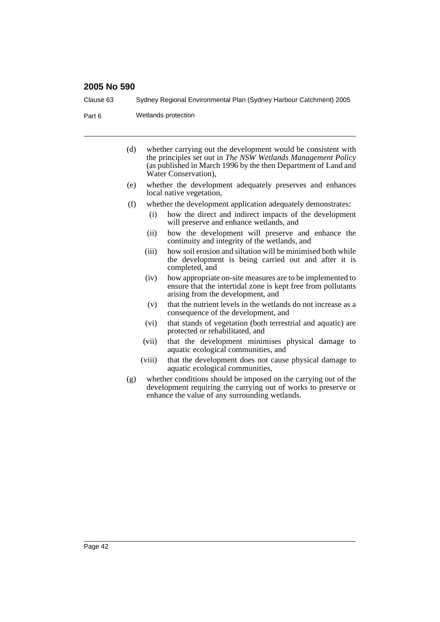Clause 63 Sydney Regional Environmental Plan (Sydney Harbour Catchment) 2005

Part 6 Wetlands protection

- (d) whether carrying out the development would be consistent with the principles set out in *The NSW Wetlands Management Policy* (as published in March 1996 by the then Department of Land and Water Conservation),
- (e) whether the development adequately preserves and enhances local native vegetation,
- (f) whether the development application adequately demonstrates:
	- (i) how the direct and indirect impacts of the development will preserve and enhance wetlands, and
	- (ii) how the development will preserve and enhance the continuity and integrity of the wetlands, and
	- (iii) how soil erosion and siltation will be minimised both while the development is being carried out and after it is completed, and
	- (iv) how appropriate on-site measures are to be implemented to ensure that the intertidal zone is kept free from pollutants arising from the development, and
	- (v) that the nutrient levels in the wetlands do not increase as a consequence of the development, and
	- (vi) that stands of vegetation (both terrestrial and aquatic) are protected or rehabilitated, and
	- (vii) that the development minimises physical damage to aquatic ecological communities, and
	- (viii) that the development does not cause physical damage to aquatic ecological communities,
- (g) whether conditions should be imposed on the carrying out of the development requiring the carrying out of works to preserve or enhance the value of any surrounding wetlands.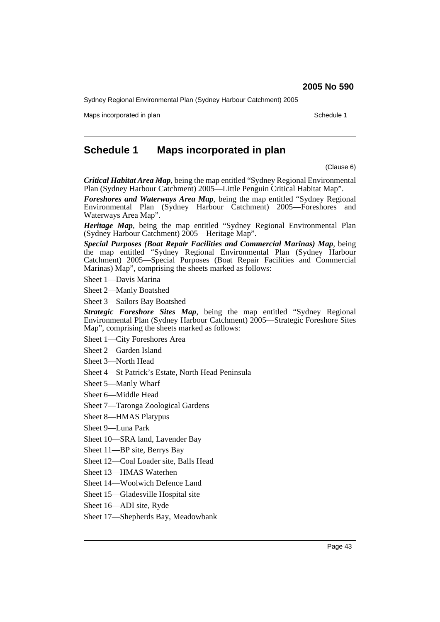Sydney Regional Environmental Plan (Sydney Harbour Catchment) 2005

Maps incorporated in plan Schedule 1 and Schedule 1 and Schedule 1 and Schedule 1 and Schedule 1 and Schedule 1

# **Schedule 1 Maps incorporated in plan**

(Clause 6)

*Critical Habitat Area Map*, being the map entitled "Sydney Regional Environmental Plan (Sydney Harbour Catchment) 2005—Little Penguin Critical Habitat Map".

*Foreshores and Waterways Area Map*, being the map entitled "Sydney Regional Environmental Plan (Sydney Harbour Catchment) 2005—Foreshores and Waterways Area Map".

*Heritage Map*, being the map entitled "Sydney Regional Environmental Plan (Sydney Harbour Catchment) 2005—Heritage Map".

*Special Purposes (Boat Repair Facilities and Commercial Marinas) Map*, being the map entitled "Sydney Regional Environmental Plan (Sydney Harbour Catchment) 2005—Special Purposes (Boat Repair Facilities and Commercial Marinas) Map", comprising the sheets marked as follows:

Sheet 1—Davis Marina

Sheet 2—Manly Boatshed

Sheet 3—Sailors Bay Boatshed

*Strategic Foreshore Sites Map*, being the map entitled "Sydney Regional Environmental Plan (Sydney Harbour Catchment) 2005—Strategic Foreshore Sites Map", comprising the sheets marked as follows:

Sheet 1—City Foreshores Area

Sheet 2—Garden Island

Sheet 3—North Head

Sheet 4—St Patrick's Estate, North Head Peninsula

Sheet 5—Manly Wharf

Sheet 6—Middle Head

Sheet 7—Taronga Zoological Gardens

Sheet 8—HMAS Platypus

Sheet 9—Luna Park

Sheet 10—SRA land, Lavender Bay

Sheet 11—BP site, Berrys Bay

Sheet 12—Coal Loader site, Balls Head

Sheet 13—HMAS Waterhen

Sheet 14—Woolwich Defence Land

Sheet 15—Gladesville Hospital site

Sheet 16—ADI site, Ryde

Sheet 17—Shepherds Bay, Meadowbank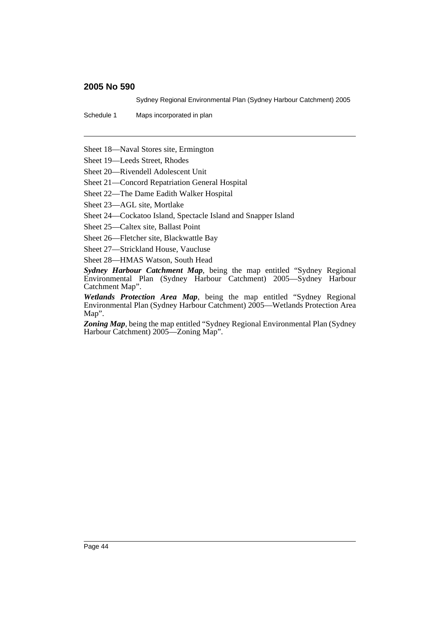Sydney Regional Environmental Plan (Sydney Harbour Catchment) 2005

Schedule 1 Maps incorporated in plan

Sheet 18—Naval Stores site, Ermington

Sheet 19—Leeds Street, Rhodes

Sheet 20—Rivendell Adolescent Unit

Sheet 21—Concord Repatriation General Hospital

Sheet 22—The Dame Eadith Walker Hospital

Sheet 23—AGL site, Mortlake

Sheet 24—Cockatoo Island, Spectacle Island and Snapper Island

Sheet 25—Caltex site, Ballast Point

Sheet 26—Fletcher site, Blackwattle Bay

Sheet 27—Strickland House, Vaucluse

Sheet 28—HMAS Watson, South Head

*Sydney Harbour Catchment Map*, being the map entitled "Sydney Regional Environmental Plan (Sydney Harbour Catchment) 2005—Sydney Harbour Catchment Map".

*Wetlands Protection Area Map*, being the map entitled "Sydney Regional Environmental Plan (Sydney Harbour Catchment) 2005—Wetlands Protection Area Map".

Zoning Map, being the map entitled "Sydney Regional Environmental Plan (Sydney Harbour Catchment) 2005—Zoning Map".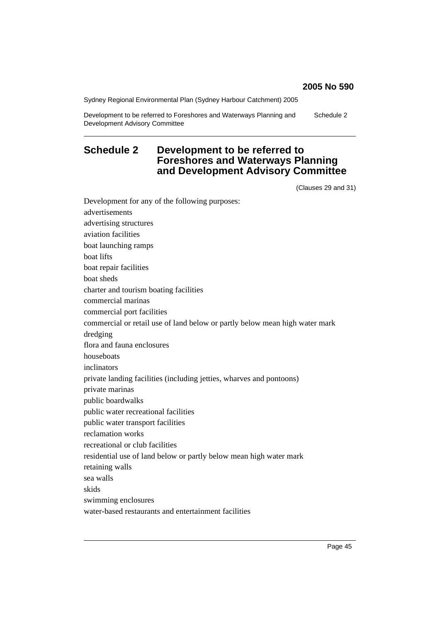Sydney Regional Environmental Plan (Sydney Harbour Catchment) 2005

Development to be referred to Foreshores and Waterways Planning and Development Advisory Committee Schedule 2

# **Schedule 2 Development to be referred to Foreshores and Waterways Planning and Development Advisory Committee**

(Clauses 29 and 31)

Development for any of the following purposes: advertisements advertising structures aviation facilities boat launching ramps boat lifts boat repair facilities boat sheds charter and tourism boating facilities commercial marinas commercial port facilities commercial or retail use of land below or partly below mean high water mark dredging flora and fauna enclosures houseboats inclinators private landing facilities (including jetties, wharves and pontoons) private marinas public boardwalks public water recreational facilities public water transport facilities reclamation works recreational or club facilities residential use of land below or partly below mean high water mark retaining walls sea walls skids swimming enclosures water-based restaurants and entertainment facilities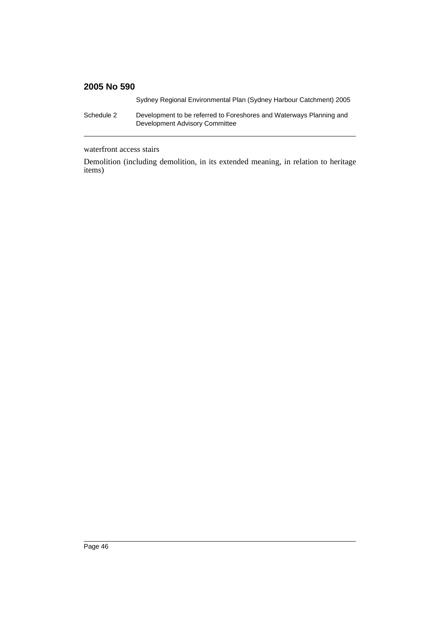Sydney Regional Environmental Plan (Sydney Harbour Catchment) 2005

Schedule 2 Development to be referred to Foreshores and Waterways Planning and Development Advisory Committee

waterfront access stairs

Demolition (including demolition, in its extended meaning, in relation to heritage items)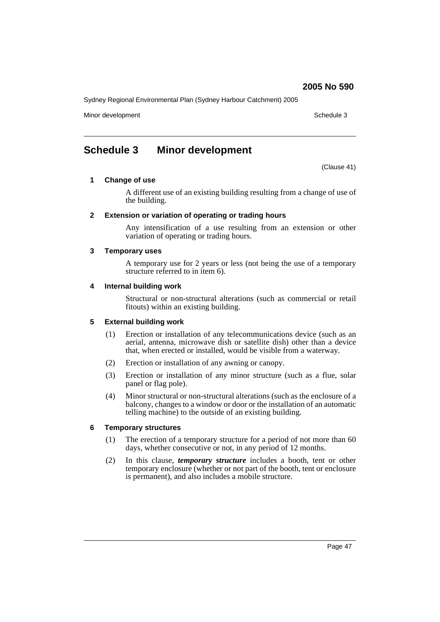Sydney Regional Environmental Plan (Sydney Harbour Catchment) 2005

Minor development and schedule 3 and schedule 3 and schedule 3 and schedule 3 and schedule 3 and schedule 3 and schedule 3 and schedule 3 and schedule 3 and schedule 3 and schedule 3 and schedule 3 and schedule 3 and sched

# **Schedule 3 Minor development**

(Clause 41)

#### **1 Change of use**

A different use of an existing building resulting from a change of use of the building.

#### **2 Extension or variation of operating or trading hours**

Any intensification of a use resulting from an extension or other variation of operating or trading hours.

#### **3 Temporary uses**

A temporary use for 2 years or less (not being the use of a temporary structure referred to in item 6).

#### **4 Internal building work**

Structural or non-structural alterations (such as commercial or retail fitouts) within an existing building.

### **5 External building work**

- (1) Erection or installation of any telecommunications device (such as an aerial, antenna, microwave dish or satellite dish) other than a device that, when erected or installed, would be visible from a waterway.
- (2) Erection or installation of any awning or canopy.
- (3) Erection or installation of any minor structure (such as a flue, solar panel or flag pole).
- (4) Minor structural or non-structural alterations (such as the enclosure of a balcony, changes to a window or door or the installation of an automatic telling machine) to the outside of an existing building.

### **6 Temporary structures**

- (1) The erection of a temporary structure for a period of not more than 60 days, whether consecutive or not, in any period of 12 months.
- (2) In this clause, *temporary structure* includes a booth, tent or other temporary enclosure (whether or not part of the booth, tent or enclosure is permanent), and also includes a mobile structure.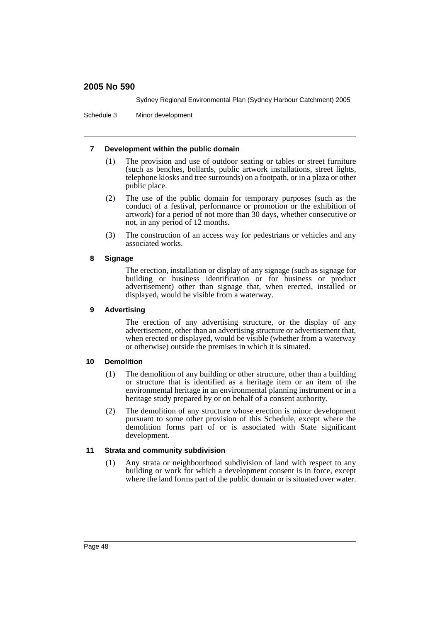Sydney Regional Environmental Plan (Sydney Harbour Catchment) 2005

Schedule 3 Minor development

### **7 Development within the public domain**

- (1) The provision and use of outdoor seating or tables or street furniture (such as benches, bollards, public artwork installations, street lights, telephone kiosks and tree surrounds) on a footpath, or in a plaza or other public place.
- (2) The use of the public domain for temporary purposes (such as the conduct of a festival, performance or promotion or the exhibition of artwork) for a period of not more than 30 days, whether consecutive or not, in any period of 12 months.
- (3) The construction of an access way for pedestrians or vehicles and any associated works.

### **8 Signage**

The erection, installation or display of any signage (such as signage for building or business identification or for business or product advertisement) other than signage that, when erected, installed or displayed, would be visible from a waterway.

### **9 Advertising**

The erection of any advertising structure, or the display of any advertisement, other than an advertising structure or advertisement that, when erected or displayed, would be visible (whether from a waterway or otherwise) outside the premises in which it is situated.

#### **10 Demolition**

- (1) The demolition of any building or other structure, other than a building or structure that is identified as a heritage item or an item of the environmental heritage in an environmental planning instrument or in a heritage study prepared by or on behalf of a consent authority.
- (2) The demolition of any structure whose erection is minor development pursuant to some other provision of this Schedule, except where the demolition forms part of or is associated with State significant development.

### **11 Strata and community subdivision**

(1) Any strata or neighbourhood subdivision of land with respect to any building or work for which a development consent is in force, except where the land forms part of the public domain or is situated over water.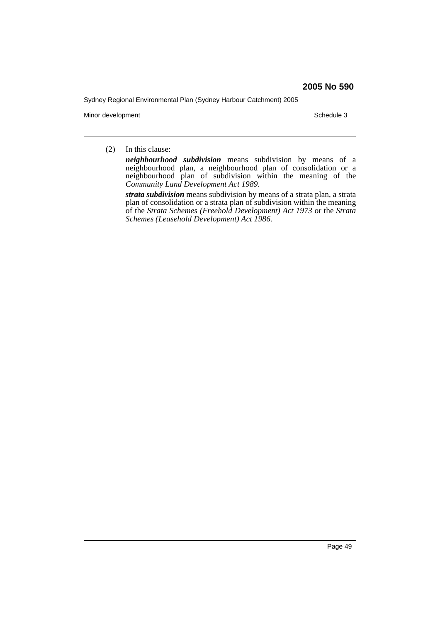Sydney Regional Environmental Plan (Sydney Harbour Catchment) 2005

Minor development Schedule 3

(2) In this clause:

*neighbourhood subdivision* means subdivision by means of a neighbourhood plan, a neighbourhood plan of consolidation or a neighbourhood plan of subdivision within the meaning of the *Community Land Development Act 1989*.

*strata subdivision* means subdivision by means of a strata plan, a strata plan of consolidation or a strata plan of subdivision within the meaning of the *Strata Schemes (Freehold Development) Act 1973* or the *Strata Schemes (Leasehold Development) Act 1986*.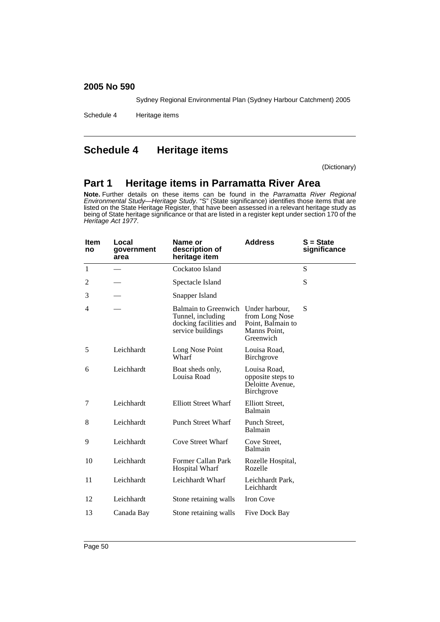Sydney Regional Environmental Plan (Sydney Harbour Catchment) 2005

Schedule 4 Heritage items

# **Schedule 4 Heritage items**

(Dictionary)

# **Part 1 Heritage items in Parramatta River Area**

**Note.** Further details on these items can be found in the *Parramatta River Regional Environmental Study—Heritage Study*. "S" (State significance) identifies those items that are listed on the State Heritage Register, that have been assessed in a relevant heritage study as being of State heritage significance or that are listed in a register kept under section 170 of the *Heritage Act 1977*.

| <b>Item</b><br>no | Local<br>government<br>area | <b>Address</b><br>Name or<br>description of<br>heritage item                                    |                                                                                    | $S = State$<br>significance |
|-------------------|-----------------------------|-------------------------------------------------------------------------------------------------|------------------------------------------------------------------------------------|-----------------------------|
| $\mathbf{1}$      |                             | Cockatoo Island                                                                                 |                                                                                    | S                           |
| 2                 |                             | Spectacle Island                                                                                |                                                                                    | S                           |
| 3                 |                             | Snapper Island                                                                                  |                                                                                    |                             |
| 4                 |                             | <b>Balmain to Greenwich</b><br>Tunnel, including<br>docking facilities and<br>service buildings | Under harbour,<br>from Long Nose<br>Point, Balmain to<br>Manns Point,<br>Greenwich | S                           |
| 5                 | Leichhardt                  | Long Nose Point<br>Wharf                                                                        | Louisa Road,<br><b>Birchgrove</b>                                                  |                             |
| 6                 | Leichhardt                  | Boat sheds only,<br>Louisa Road                                                                 | Louisa Road,<br>opposite steps to<br>Deloitte Avenue,<br>Birchgrove                |                             |
| 7                 | Leichhardt                  | <b>Elliott Street Wharf</b>                                                                     | Elliott Street,<br>Balmain                                                         |                             |
| 8                 | Leichhardt                  | <b>Punch Street Wharf</b>                                                                       | Punch Street.<br>Balmain                                                           |                             |
| 9                 | Leichhardt                  | Cove Street Wharf                                                                               | Cove Street,<br>Balmain                                                            |                             |
| 10                | Leichhardt                  | Former Callan Park<br><b>Hospital Wharf</b>                                                     | Rozelle Hospital,<br>Rozelle                                                       |                             |
| 11                | Leichhardt                  | Leichhardt Wharf                                                                                | Leichhardt Park,<br>Leichhardt                                                     |                             |
| 12                | Leichhardt                  | Stone retaining walls                                                                           | Iron Cove                                                                          |                             |
| 13                | Canada Bay                  | Stone retaining walls                                                                           | Five Dock Bay                                                                      |                             |
|                   |                             |                                                                                                 |                                                                                    |                             |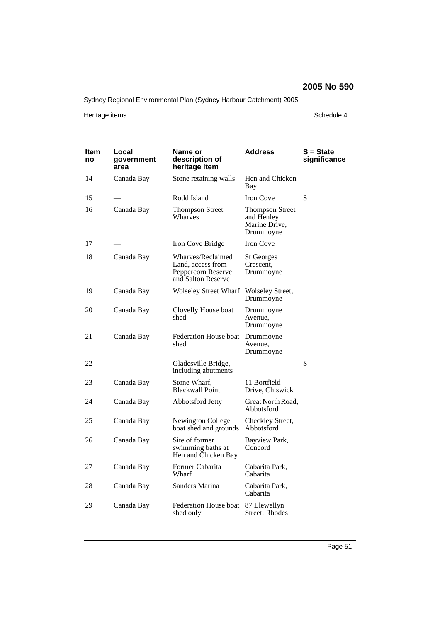Sydney Regional Environmental Plan (Sydney Harbour Catchment) 2005

Heritage items **Schedule 4** 

| ltem<br>no | Local<br>government<br>area | Name or<br>description of<br>heritage item                                         | Address                                                            | S = State<br>significance |
|------------|-----------------------------|------------------------------------------------------------------------------------|--------------------------------------------------------------------|---------------------------|
| 14         | Canada Bay                  | Stone retaining walls                                                              | Hen and Chicken<br>Bay                                             |                           |
| 15         |                             | Rodd Island                                                                        | <b>Iron Cove</b>                                                   | S                         |
| 16         | Canada Bay                  | <b>Thompson Street</b><br>Wharves                                                  | <b>Thompson Street</b><br>and Henley<br>Marine Drive,<br>Drummoyne |                           |
| 17         |                             | Iron Cove Bridge                                                                   | <b>Iron Cove</b>                                                   |                           |
| 18         | Canada Bay                  | Wharves/Reclaimed<br>Land, access from<br>Peppercorn Reserve<br>and Salton Reserve | <b>St Georges</b><br>Crescent,<br>Drummoyne                        |                           |
| 19         | Canada Bay                  | <b>Wolseley Street Wharf</b>                                                       | Wolseley Street,<br>Drummoyne                                      |                           |
| 20         | Canada Bay                  | Clovelly House boat<br>shed                                                        | Drummoyne<br>Avenue,<br>Drummoyne                                  |                           |
| 21         | Canada Bay                  | Federation House boat<br>shed                                                      | Drummoyne<br>Avenue,<br>Drummoyne                                  |                           |
| 22         |                             | Gladesville Bridge,<br>including abutments                                         |                                                                    | ${\bf S}$                 |
| 23         | Canada Bay                  | Stone Wharf,<br><b>Blackwall Point</b>                                             | 11 Bortfield<br>Drive, Chiswick                                    |                           |
| 24         | Canada Bay                  | Abbotsford Jetty                                                                   | Great North Road,<br>Abbotsford                                    |                           |
| 25         | Canada Bay                  | Newington College<br>boat shed and grounds                                         | Checkley Street,<br>Abbotsford                                     |                           |
| 26         | Canada Bay                  | Site of former<br>swimming baths at<br>Hen and Chicken Bay                         | Bayview Park,<br>Concord                                           |                           |
| 27         | Canada Bay                  | Former Cabarita<br>Wharf                                                           | Cabarita Park,<br>Cabarita                                         |                           |
| 28         | Canada Bay                  | Sanders Marina                                                                     | Cabarita Park,<br>Cabarita                                         |                           |
| 29         | Canada Bay                  | Federation House boat<br>shed only                                                 | 87 Llewellyn<br>Street, Rhodes                                     |                           |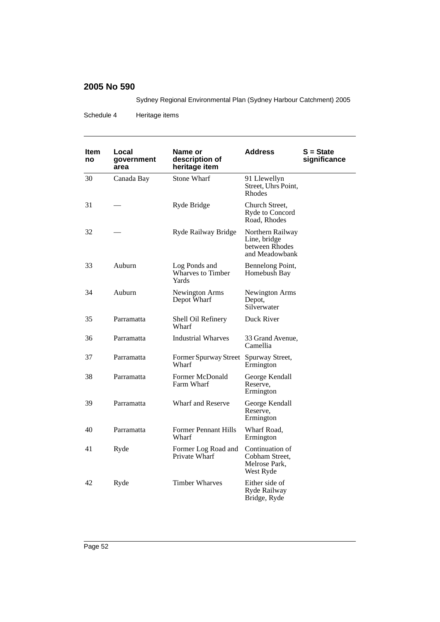Sydney Regional Environmental Plan (Sydney Harbour Catchment) 2005

Schedule 4 Heritage items

| ltem<br>no | Local<br>government<br>area | Name or<br>description of<br>heritage item         | <b>Address</b>                                                       | $S = State$<br>significance |
|------------|-----------------------------|----------------------------------------------------|----------------------------------------------------------------------|-----------------------------|
| 30         | Canada Bay                  | <b>Stone Wharf</b>                                 | 91 Llewellyn<br>Street, Uhrs Point,<br>Rhodes                        |                             |
| 31         |                             | Ryde Bridge                                        | Church Street.<br>Ryde to Concord<br>Road, Rhodes                    |                             |
| 32         |                             | Ryde Railway Bridge                                | Northern Railway<br>Line, bridge<br>between Rhodes<br>and Meadowbank |                             |
| 33         | Auburn                      | Log Ponds and<br><b>Wharves to Timber</b><br>Yards | Bennelong Point,<br>Homebush Bay                                     |                             |
| 34         | Auburn                      | Newington Arms<br>Depot Wharf                      | Newington Arms<br>Depot,<br>Silverwater                              |                             |
| 35         | Parramatta                  | Shell Oil Refinery<br>Wharf                        | Duck River                                                           |                             |
| 36         | Parramatta                  | <b>Industrial Wharves</b>                          | 33 Grand Avenue,<br>Camellia                                         |                             |
| 37         | Parramatta                  | Former Spurway Street Spurway Street,<br>Wharf     | Ermington                                                            |                             |
| 38         | Parramatta                  | Former McDonald<br>Farm Wharf                      | George Kendall<br>Reserve,<br>Ermington                              |                             |
| 39         | Parramatta                  | <b>Wharf and Reserve</b>                           | George Kendall<br>Reserve,<br>Ermington                              |                             |
| 40         | Parramatta                  | <b>Former Pennant Hills</b><br>Wharf               | Wharf Road.<br>Ermington                                             |                             |
| 41         | Ryde                        | Former Log Road and<br>Private Wharf               | Continuation of<br>Cobham Street.<br>Melrose Park,<br>West Ryde      |                             |
| 42         | Ryde                        | <b>Timber Wharves</b>                              | Either side of<br>Ryde Railway<br>Bridge, Ryde                       |                             |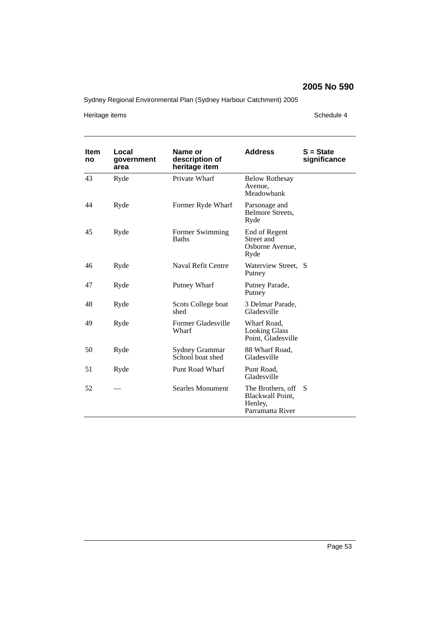Sydney Regional Environmental Plan (Sydney Harbour Catchment) 2005

Heritage items **Schedule 4** 

| <b>Item</b><br>no | Local<br>government<br>area | Name or<br>description of<br>heritage item | <b>Address</b>                                                       | $S = State$<br>significance |
|-------------------|-----------------------------|--------------------------------------------|----------------------------------------------------------------------|-----------------------------|
| 43                | Ryde                        | Private Wharf                              | <b>Below Rothesay</b><br>Avenue,<br>Meadowbank                       |                             |
| 44                | Ryde                        | Former Ryde Wharf                          | Parsonage and<br>Belmore Streets,<br>Ryde                            |                             |
| 45                | Ryde                        | Former Swimming<br><b>Baths</b>            | End of Regent<br>Street and<br>Osborne Avenue,<br>Ryde               |                             |
| 46                | Ryde                        | Naval Refit Centre                         | Waterview Street, S<br>Putney                                        |                             |
| 47                | Ryde                        | Putney Wharf                               | Putney Parade,<br>Putney                                             |                             |
| 48                | Ryde                        | Scots College boat<br>shed                 | 3 Delmar Parade,<br>Gladesville                                      |                             |
| 49                | Ryde                        | Former Gladesville<br>Wharf                | Wharf Road,<br><b>Looking Glass</b><br>Point, Gladesville            |                             |
| 50                | Ryde                        | Sydney Grammar<br>School boat shed         | 88 Wharf Road,<br>Gladesville                                        |                             |
| 51                | Ryde                        | Punt Road Wharf                            | Punt Road,<br>Gladesville                                            |                             |
| 52                |                             | Searles Monument                           | The Brothers, off<br>Blackwall Point,<br>Henley,<br>Parramatta River | S                           |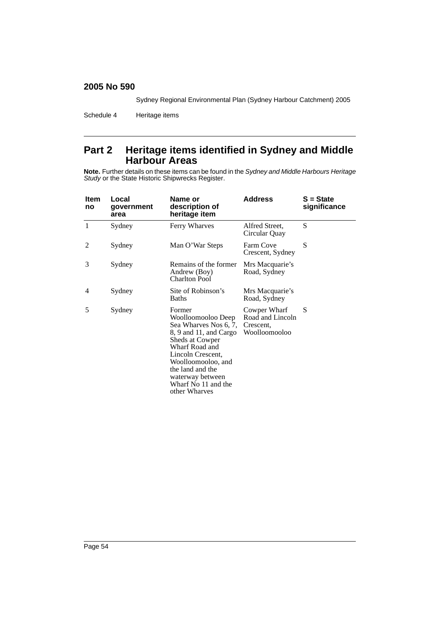Sydney Regional Environmental Plan (Sydney Harbour Catchment) 2005

Schedule 4 Heritage items

# **Part 2 Heritage items identified in Sydney and Middle Harbour Areas**

**Note.** Further details on these items can be found in the *Sydney and Middle Harbours Heritage Study* or the State Historic Shipwrecks Register.

| Item<br>no | Local<br>government<br>area | Name or<br>description of<br>heritage item                                                                                                                                                                                                      | <b>Address</b>                                                 | $S = State$<br>significance |
|------------|-----------------------------|-------------------------------------------------------------------------------------------------------------------------------------------------------------------------------------------------------------------------------------------------|----------------------------------------------------------------|-----------------------------|
| 1          | Sydney                      | Ferry Wharves                                                                                                                                                                                                                                   | Alfred Street,<br>Circular Quay                                | S                           |
| 2          | Sydney                      | Man O'War Steps                                                                                                                                                                                                                                 | Farm Cove<br>Crescent, Sydney                                  | S                           |
| 3          | Sydney                      | Remains of the former<br>Andrew (Boy)<br><b>Charlton Pool</b>                                                                                                                                                                                   | Mrs Macquarie's<br>Road, Sydney                                |                             |
| 4          | Sydney                      | Site of Robinson's<br><b>Baths</b>                                                                                                                                                                                                              | Mrs Macquarie's<br>Road, Sydney                                |                             |
| 5          | Sydney                      | Former<br>Woolloomooloo Deep<br>Sea Wharves Nos 6, 7,<br>8, 9 and 11, and Cargo<br>Sheds at Cowper<br>Wharf Road and<br>Lincoln Crescent,<br>Woolloomooloo, and<br>the land and the<br>waterway between<br>Wharf No 11 and the<br>other Wharves | Cowper Wharf<br>Road and Lincoln<br>Crescent,<br>Woolloomooloo | S                           |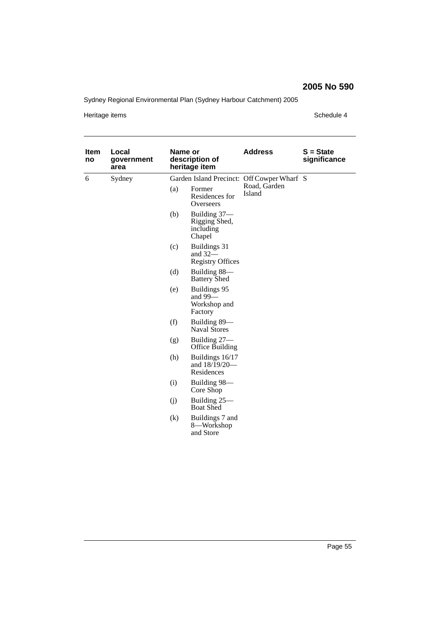Sydney Regional Environmental Plan (Sydney Harbour Catchment) 2005

Heritage items **Schedule 4** 

| <b>Item</b><br>no | Local<br>government<br>area | Name or<br>description of<br>heritage item |                                                      | <b>Address</b>                             | $S = State$<br>significance |
|-------------------|-----------------------------|--------------------------------------------|------------------------------------------------------|--------------------------------------------|-----------------------------|
| 6                 | Sydney                      |                                            |                                                      | Garden Island Precinct: Off Cowper Wharf S |                             |
|                   |                             | (a)                                        | Former<br>Residences for<br>Overseers                | Road, Garden<br>Island                     |                             |
|                   |                             | (b)                                        | Building 37-<br>Rigging Shed,<br>including<br>Chapel |                                            |                             |
|                   |                             | (c)                                        | Buildings 31<br>and $32-$<br><b>Registry Offices</b> |                                            |                             |
|                   |                             | (d)                                        | Building 88—<br><b>Battery Shed</b>                  |                                            |                             |
|                   |                             | (e)                                        | Buildings 95<br>and $99-$<br>Workshop and<br>Factory |                                            |                             |
|                   |                             | (f)                                        | Building 89-<br><b>Naval Stores</b>                  |                                            |                             |
|                   |                             | (g)                                        | Building 27-<br>Office Building                      |                                            |                             |
|                   |                             | (h)                                        | Buildings 16/17<br>and 18/19/20-<br>Residences       |                                            |                             |
|                   |                             | (i)                                        | Building 98-<br>Core Shop                            |                                            |                             |
|                   |                             | (j)                                        | Building 25-<br><b>Boat Shed</b>                     |                                            |                             |
|                   |                             | (k)                                        | Buildings 7 and<br>8-Workshop<br>and Store           |                                            |                             |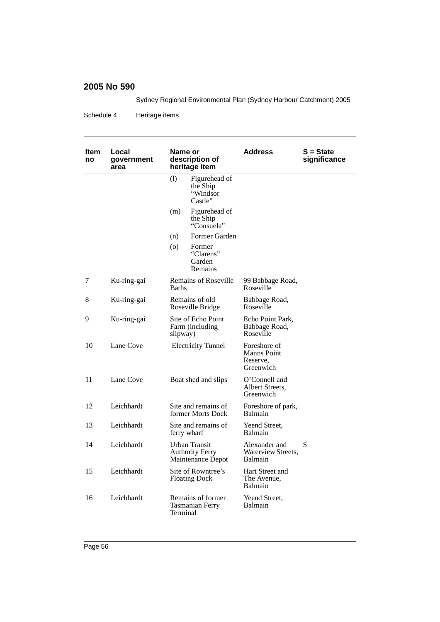Sydney Regional Environmental Plan (Sydney Harbour Catchment) 2005

Schedule 4 Heritage items

| ltem<br>no | Local<br>government<br>area | Name or<br>description of<br>heritage item                   | Address                                                     | S = State<br>significance |
|------------|-----------------------------|--------------------------------------------------------------|-------------------------------------------------------------|---------------------------|
|            |                             | (1)<br>Figurehead of<br>the Ship<br>"Windsor<br>Castle"      |                                                             |                           |
|            |                             | (m)<br>Figurehead of<br>the Ship<br>"Consuela"               |                                                             |                           |
|            |                             | Former Garden<br>(n)                                         |                                                             |                           |
|            |                             | (o)<br>Former<br>"Clarens"<br>Garden<br>Remains              |                                                             |                           |
| 7          | Ku-ring-gai                 | <b>Remains of Roseville</b><br><b>Baths</b>                  | 99 Babbage Road,<br>Roseville                               |                           |
| 8          | Ku-ring-gai                 | Remains of old<br>Roseville Bridge                           | Babbage Road,<br>Roseville                                  |                           |
| 9          | Ku-ring-gai                 | Site of Echo Point<br>Farm (including)<br>slipway)           | Echo Point Park,<br>Babbage Road,<br>Roseville              |                           |
| 10         | Lane Cove                   | <b>Electricity Tunnel</b>                                    | Foreshore of<br><b>Manns Point</b><br>Reserve,<br>Greenwich |                           |
| 11         | Lane Cove                   | Boat shed and slips                                          | O'Connell and<br>Albert Streets.<br>Greenwich               |                           |
| 12         | Leichhardt                  | Site and remains of<br>former Morts Dock                     | Foreshore of park,<br>Balmain                               |                           |
| 13         | Leichhardt                  | Site and remains of<br>ferry wharf                           | Yeend Street.<br>Balmain                                    |                           |
| 14         | Leichhardt                  | Urban Transit<br><b>Authority Ferry</b><br>Maintenance Depot | Alexander and<br>Waterview Streets,<br>Balmain              | S                         |
| 15         | Leichhardt                  | Site of Rowntree's<br><b>Floating Dock</b>                   | Hart Street and<br>The Avenue,<br>Balmain                   |                           |
| 16         | Leichhardt                  | Remains of former<br><b>Tasmanian Ferry</b><br>Terminal      | Yeend Street.<br>Balmain                                    |                           |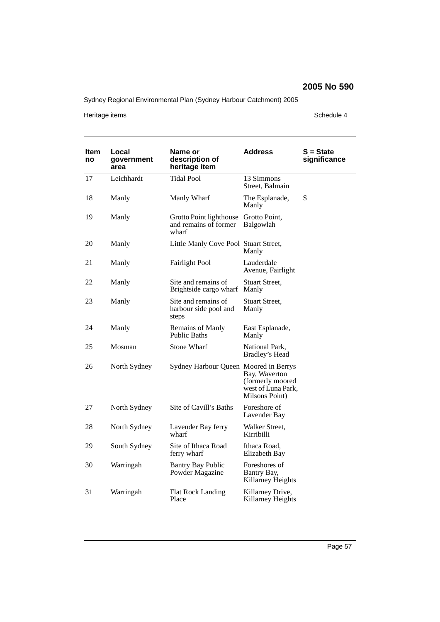Sydney Regional Environmental Plan (Sydney Harbour Catchment) 2005

Heritage items **Schedule 4** 

| Item<br>no | Local<br>government<br>area | Name or<br>description of<br>heritage item                | <b>Address</b>                                                            | S = State<br>significance |
|------------|-----------------------------|-----------------------------------------------------------|---------------------------------------------------------------------------|---------------------------|
| 17         | Leichhardt                  | <b>Tidal Pool</b>                                         | 13 Simmons<br>Street, Balmain                                             |                           |
| 18         | Manly                       | Manly Wharf                                               | The Esplanade,<br>Manly                                                   | S                         |
| 19         | Manly                       | Grotto Point lighthouse<br>and remains of former<br>wharf | Grotto Point,<br>Balgowlah                                                |                           |
| 20         | Manly                       | Little Manly Cove Pool Stuart Street,                     | Manly                                                                     |                           |
| 21         | Manly                       | <b>Fairlight Pool</b>                                     | Lauderdale<br>Avenue, Fairlight                                           |                           |
| 22         | Manly                       | Site and remains of<br>Brightside cargo wharf             | Stuart Street,<br>Manly                                                   |                           |
| 23         | Manly                       | Site and remains of<br>harbour side pool and<br>steps     | Stuart Street,<br>Manly                                                   |                           |
| 24         | Manly                       | Remains of Manly<br><b>Public Baths</b>                   | East Esplanade,<br>Manly                                                  |                           |
| 25         | Mosman                      | <b>Stone Wharf</b>                                        | National Park,<br>Bradley's Head                                          |                           |
| 26         | North Sydney                | Sydney Harbour Queen Moored in Berrys                     | Bay, Waverton<br>(formerly moored<br>west of Luna Park,<br>Milsons Point) |                           |
| 27         | North Sydney                | Site of Cavill's Baths                                    | Foreshore of<br>Lavender Bay                                              |                           |
| 28         | North Sydney                | Lavender Bay ferry<br>wharf                               | Walker Street,<br>Kirribilli                                              |                           |
| 29         | South Sydney                | Site of Ithaca Road<br>ferry wharf                        | Ithaca Road,<br>Elizabeth Bay                                             |                           |
| 30         | Warringah                   | <b>Bantry Bay Public</b><br>Powder Magazine               | Foreshores of<br>Bantry Bay,<br>Killarney Heights                         |                           |
| 31         | Warringah                   | <b>Flat Rock Landing</b><br>Place                         | Killarney Drive,<br>Killarney Heights                                     |                           |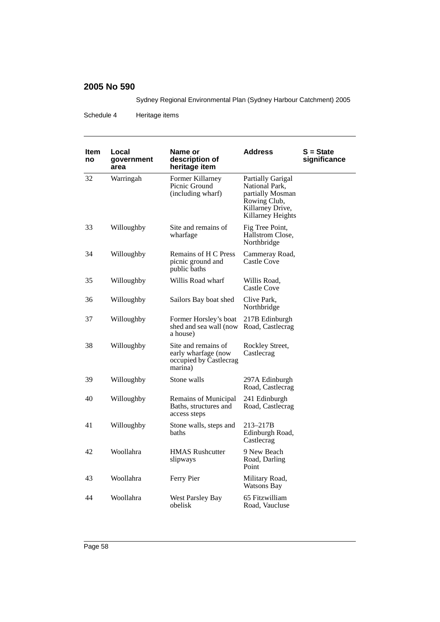Sydney Regional Environmental Plan (Sydney Harbour Catchment) 2005

Schedule 4 Heritage items

| ltem<br>no | Local<br>government<br>area | Name or<br>description of<br>heritage item                                      | <b>Address</b>                                                                                                   | S = State<br>significance |
|------------|-----------------------------|---------------------------------------------------------------------------------|------------------------------------------------------------------------------------------------------------------|---------------------------|
| 32         | Warringah                   | Former Killarney<br>Picnic Ground<br>(including wharf)                          | Partially Garigal<br>National Park,<br>partially Mosman<br>Rowing Club,<br>Killarney Drive,<br>Killarney Heights |                           |
| 33         | Willoughby                  | Site and remains of<br>wharfage                                                 | Fig Tree Point,<br>Hallstrom Close,<br>Northbridge                                                               |                           |
| 34         | Willoughby                  | Remains of H C Press<br>picnic ground and<br>public baths                       | Cammeray Road,<br><b>Castle Cove</b>                                                                             |                           |
| 35         | Willoughby                  | Willis Road wharf                                                               | Willis Road.<br>Castle Cove                                                                                      |                           |
| 36         | Willoughby                  | Sailors Bay boat shed                                                           | Clive Park,<br>Northbridge                                                                                       |                           |
| 37         | Willoughby                  | Former Horsley's boat<br>shed and sea wall (now<br>a house)                     | 217B Edinburgh<br>Road, Castlecrag                                                                               |                           |
| 38         | Willoughby                  | Site and remains of<br>early wharfage (now<br>occupied by Castlecrag<br>marina) | Rockley Street,<br>Castlecrag                                                                                    |                           |
| 39         | Willoughby                  | Stone walls                                                                     | 297A Edinburgh<br>Road, Castlecrag                                                                               |                           |
| 40         | Willoughby                  | Remains of Municipal<br>Baths, structures and<br>access steps                   | 241 Edinburgh<br>Road, Castlecrag                                                                                |                           |
| 41         | Willoughby                  | Stone walls, steps and<br>baths                                                 | 213-217B<br>Edinburgh Road,<br>Castlecrag                                                                        |                           |
| 42         | Woollahra                   | <b>HMAS Rushcutter</b><br>slipways                                              | 9 New Beach<br>Road, Darling<br>Point                                                                            |                           |
| 43         | Woollahra                   | Ferry Pier                                                                      | Military Road,<br><b>Watsons Bay</b>                                                                             |                           |
| 44         | Woollahra                   | West Parsley Bay<br>obelisk                                                     | 65 Fitzwilliam<br>Road, Vaucluse                                                                                 |                           |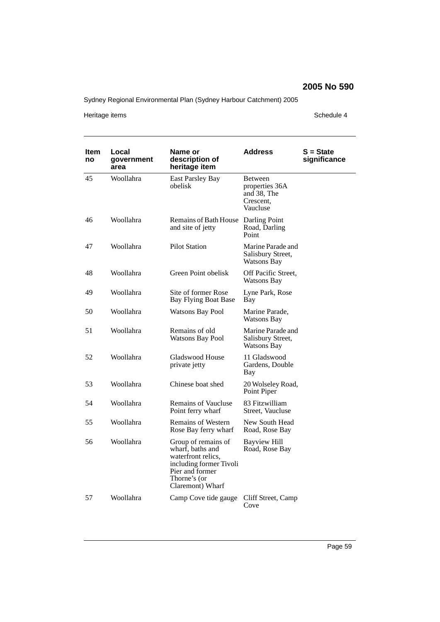Sydney Regional Environmental Plan (Sydney Harbour Catchment) 2005

Heritage items **Schedule 4** 

| Item<br>no | Local<br>government<br>area | Name or<br>description of<br>heritage item                                                                                                      | <b>Address</b>                                                    | S = State<br>significance |
|------------|-----------------------------|-------------------------------------------------------------------------------------------------------------------------------------------------|-------------------------------------------------------------------|---------------------------|
| 45         | Woollahra                   | <b>East Parsley Bay</b><br>obelisk                                                                                                              | Between<br>properties 36A<br>and 38, The<br>Crescent,<br>Vaucluse |                           |
| 46         | Woollahra                   | Remains of Bath House<br>and site of jetty                                                                                                      | Darling Point<br>Road, Darling<br>Point                           |                           |
| 47         | Woollahra                   | <b>Pilot Station</b>                                                                                                                            | Marine Parade and<br>Salisbury Street,<br><b>Watsons Bay</b>      |                           |
| 48         | Woollahra                   | Green Point obelisk                                                                                                                             | Off Pacific Street,<br><b>Watsons Bay</b>                         |                           |
| 49         | Woollahra                   | Site of former Rose<br>Bay Flying Boat Base                                                                                                     | Lyne Park, Rose<br>Bay                                            |                           |
| 50         | Woollahra                   | <b>Watsons Bay Pool</b>                                                                                                                         | Marine Parade,<br><b>Watsons Bay</b>                              |                           |
| 51         | Woollahra                   | Remains of old<br><b>Watsons Bay Pool</b>                                                                                                       | Marine Parade and<br>Salisbury Street,<br>Watsons Bay             |                           |
| 52         | Woollahra                   | Gladswood House<br>private jetty                                                                                                                | 11 Gladswood<br>Gardens, Double<br>Bay                            |                           |
| 53         | Woollahra                   | Chinese boat shed                                                                                                                               | 20 Wolseley Road,<br>Point Piper                                  |                           |
| 54         | Woollahra                   | <b>Remains of Vaucluse</b><br>Point ferry wharf                                                                                                 | 83 Fitzwilliam<br>Street, Vaucluse                                |                           |
| 55         | Woollahra                   | <b>Remains of Western</b><br>Rose Bay ferry wharf                                                                                               | New South Head<br>Road, Rose Bay                                  |                           |
| 56         | Woollahra                   | Group of remains of<br>wharf, baths and<br>waterfront relics,<br>including former Tivoli<br>Pier and former<br>Thorne's (or<br>Claremont) Wharf | <b>Bayview Hill</b><br>Road, Rose Bay                             |                           |
| 57         | Woollahra                   | Camp Cove tide gauge                                                                                                                            | Cliff Street, Camp<br>Cove                                        |                           |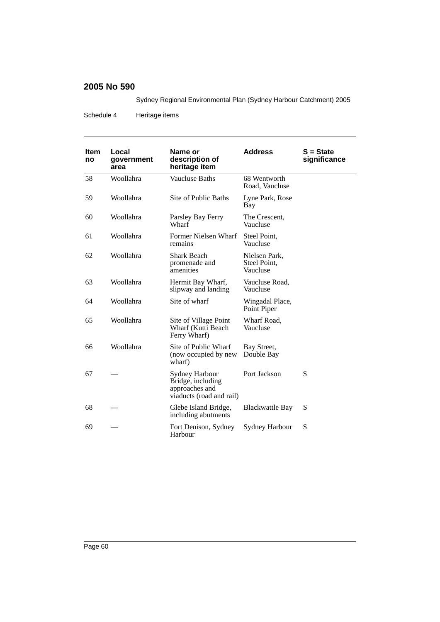Sydney Regional Environmental Plan (Sydney Harbour Catchment) 2005

Schedule 4 Heritage items

| <b>Item</b><br>no | Local<br>government<br>area | Name or<br>description of<br>heritage item                                        | <b>Address</b>                            | $S = State$<br>significance |
|-------------------|-----------------------------|-----------------------------------------------------------------------------------|-------------------------------------------|-----------------------------|
| 58                | Woollahra                   | <b>Vaucluse Baths</b>                                                             | 68 Wentworth<br>Road, Vaucluse            |                             |
| 59                | Woollahra                   | Site of Public Baths                                                              | Lyne Park, Rose<br>Bay                    |                             |
| 60                | Woollahra                   | Parsley Bay Ferry<br>Wharf                                                        | The Crescent.<br>Vaucluse                 |                             |
| 61                | Woollahra                   | Former Nielsen Wharf<br>remains                                                   | Steel Point,<br>Vaucluse                  |                             |
| 62                | Woollahra                   | <b>Shark Beach</b><br>promenade and<br>amenities                                  | Nielsen Park,<br>Steel Point,<br>Vaucluse |                             |
| 63                | Woollahra                   | Hermit Bay Wharf,<br>slipway and landing                                          | Vaucluse Road,<br>Vaucluse                |                             |
| 64                | Woollahra                   | Site of wharf                                                                     | Wingadal Place,<br>Point Piper            |                             |
| 65                | Woollahra                   | Site of Village Point<br>Wharf (Kutti Beach<br>Ferry Wharf)                       | Wharf Road,<br>Vaucluse                   |                             |
| 66                | Woollahra                   | Site of Public Wharf<br>(now occupied by new<br>wharf)                            | Bay Street,<br>Double Bay                 |                             |
| 67                |                             | Sydney Harbour<br>Bridge, including<br>approaches and<br>viaducts (road and rail) | Port Jackson                              | S                           |
| 68                |                             | Glebe Island Bridge,<br>including abutments                                       | <b>Blackwattle Bay</b>                    | S                           |
| 69                |                             | Fort Denison, Sydney<br>Harbour                                                   | Sydney Harbour                            | S                           |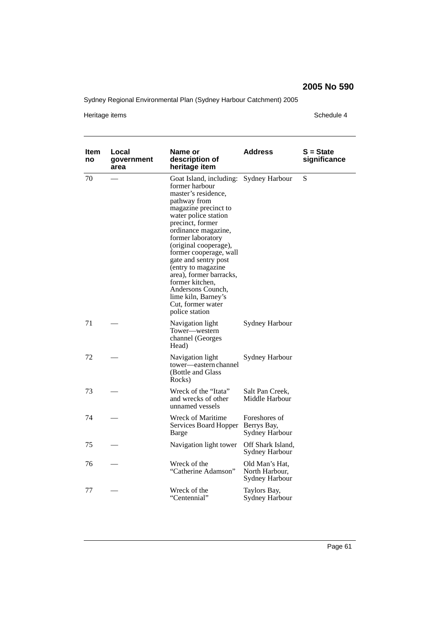Sydney Regional Environmental Plan (Sydney Harbour Catchment) 2005

Heritage items **Schedule 4** 

| Item<br>no | Local<br>government<br>area | Name or<br>description of<br>heritage item                                                                                                                                                                                                                                                                                                                                                                                                        | <b>Address</b>                                     | $S = State$<br>significance |
|------------|-----------------------------|---------------------------------------------------------------------------------------------------------------------------------------------------------------------------------------------------------------------------------------------------------------------------------------------------------------------------------------------------------------------------------------------------------------------------------------------------|----------------------------------------------------|-----------------------------|
| 70         |                             | Goat Island, including: Sydney Harbour<br>former harbour<br>master's residence,<br>pathway from<br>magazine precinct to<br>water police station<br>precinct, former<br>ordinance magazine,<br>former laboratory<br>(original cooperage),<br>former cooperage, wall<br>gate and sentry post<br>(entry to magazine<br>area), former barracks,<br>former kitchen,<br>Andersons Counch,<br>lime kiln, Barney's<br>Cut, former water<br>police station |                                                    | S                           |
| 71         |                             | Navigation light<br>Tower-western<br>channel (Georges<br>Head)                                                                                                                                                                                                                                                                                                                                                                                    | Sydney Harbour                                     |                             |
| 72         |                             | Navigation light<br>tower—eastern channel<br>(Bottle and Glass<br>Rocks)                                                                                                                                                                                                                                                                                                                                                                          | Sydney Harbour                                     |                             |
| 73         |                             | Wreck of the "Itata"<br>and wrecks of other<br>unnamed vessels                                                                                                                                                                                                                                                                                                                                                                                    | Salt Pan Creek,<br>Middle Harbour                  |                             |
| 74         |                             | Wreck of Maritime<br>Services Board Hopper Berrys Bay,<br>Barge                                                                                                                                                                                                                                                                                                                                                                                   | Foreshores of<br>Sydney Harbour                    |                             |
| 75         |                             | Navigation light tower                                                                                                                                                                                                                                                                                                                                                                                                                            | Off Shark Island,<br>Sydney Harbour                |                             |
| 76         |                             | Wreck of the<br>"Catherine Adamson"                                                                                                                                                                                                                                                                                                                                                                                                               | Old Man's Hat,<br>North Harbour,<br>Sydney Harbour |                             |
| 77         |                             | Wreck of the<br>"Centennial"                                                                                                                                                                                                                                                                                                                                                                                                                      | Taylors Bay,<br>Sydney Harbour                     |                             |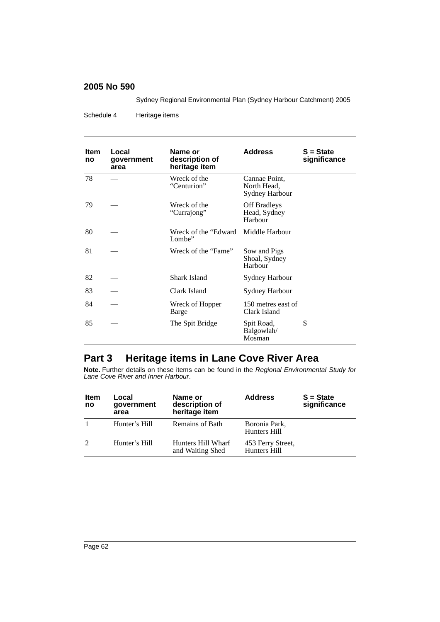Sydney Regional Environmental Plan (Sydney Harbour Catchment) 2005

Schedule 4 Heritage items

| <b>Item</b><br>no | Local<br>government<br>area | Name or<br>description of<br>heritage item | <b>Address</b>                                 | $S = State$<br>significance |
|-------------------|-----------------------------|--------------------------------------------|------------------------------------------------|-----------------------------|
| 78                |                             | Wreck of the<br>"Centurion"                | Cannae Point,<br>North Head,<br>Sydney Harbour |                             |
| 79                |                             | Wreck of the<br>"Currajong"                | <b>Off Bradleys</b><br>Head, Sydney<br>Harbour |                             |
| 80                |                             | Wreck of the "Edward<br>Lombe"             | Middle Harbour                                 |                             |
| 81                |                             | Wreck of the "Fame"                        | Sow and Pigs<br>Shoal, Sydney<br>Harbour       |                             |
| 82                |                             | <b>Shark Island</b>                        | <b>Sydney Harbour</b>                          |                             |
| 83                |                             | Clark Island                               | Sydney Harbour                                 |                             |
| 84                |                             | Wreck of Hopper<br>Barge                   | 150 metres east of<br>Clark Island             |                             |
| 85                |                             | The Spit Bridge                            | Spit Road,<br>Balgowlah/<br>Mosman             | S                           |

# **Part 3 Heritage items in Lane Cove River Area**

**Note.** Further details on these items can be found in the *Regional Environmental Study for Lane Cove River and Inner Harbour*.

| <b>Item</b><br>no | Local<br>government<br>area | Name or<br>description of<br>heritage item | <b>Address</b>                    | $S = State$<br>significance |
|-------------------|-----------------------------|--------------------------------------------|-----------------------------------|-----------------------------|
|                   | Hunter's Hill               | Remains of Bath                            | Boronia Park.<br>Hunters Hill     |                             |
|                   | Hunter's Hill               | Hunters Hill Wharf<br>and Waiting Shed     | 453 Ferry Street,<br>Hunters Hill |                             |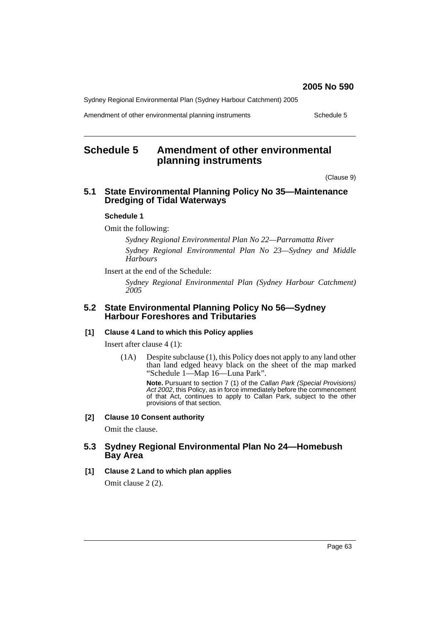Sydney Regional Environmental Plan (Sydney Harbour Catchment) 2005

Amendment of other environmental planning instruments Schedule 5

# **Schedule 5 Amendment of other environmental planning instruments**

(Clause 9)

## **5.1 State Environmental Planning Policy No 35—Maintenance Dredging of Tidal Waterways**

### **Schedule 1**

Omit the following:

*Sydney Regional Environmental Plan No 22—Parramatta River Sydney Regional Environmental Plan No 23—Sydney and Middle Harbours*

Insert at the end of the Schedule:

*Sydney Regional Environmental Plan (Sydney Harbour Catchment) 2005*

### **5.2 State Environmental Planning Policy No 56—Sydney Harbour Foreshores and Tributaries**

### **[1] Clause 4 Land to which this Policy applies**

Insert after clause 4 (1):

(1A) Despite subclause (1), this Policy does not apply to any land other than land edged heavy black on the sheet of the map marked "Schedule 1—Map 16—Luna Park".

> **Note.** Pursuant to section 7 (1) of the *Callan Park (Special Provisions) Act 2002*, this Policy, as in force immediately before the commencement of that Act, continues to apply to Callan Park, subject to the other provisions of that section.

### **[2] Clause 10 Consent authority**

Omit the clause.

### **5.3 Sydney Regional Environmental Plan No 24—Homebush Bay Area**

### **[1] Clause 2 Land to which plan applies**

Omit clause 2 (2).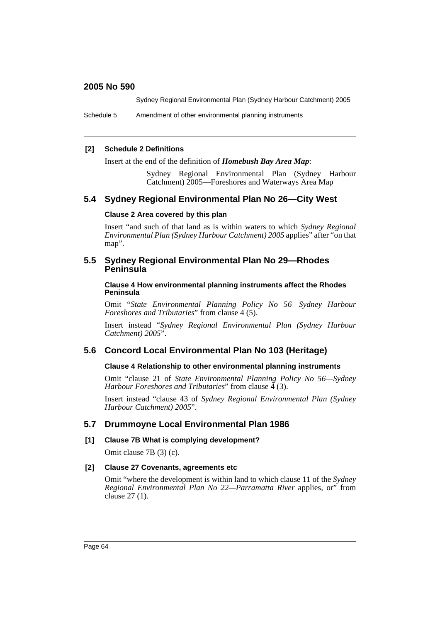Sydney Regional Environmental Plan (Sydney Harbour Catchment) 2005

Schedule 5 Amendment of other environmental planning instruments

### **[2] Schedule 2 Definitions**

Insert at the end of the definition of *Homebush Bay Area Map*:

Sydney Regional Environmental Plan (Sydney Harbour Catchment) 2005—Foreshores and Waterways Area Map

## **5.4 Sydney Regional Environmental Plan No 26—City West**

### **Clause 2 Area covered by this plan**

Insert "and such of that land as is within waters to which *Sydney Regional Environmental Plan (Sydney Harbour Catchment) 2005* applies" after "on that map".

### **5.5 Sydney Regional Environmental Plan No 29—Rhodes Peninsula**

**Clause 4 How environmental planning instruments affect the Rhodes Peninsula**

Omit "*State Environmental Planning Policy No 56—Sydney Harbour Foreshores and Tributaries*" from clause 4 (5).

Insert instead "*Sydney Regional Environmental Plan (Sydney Harbour Catchment) 2005*".

## **5.6 Concord Local Environmental Plan No 103 (Heritage)**

#### **Clause 4 Relationship to other environmental planning instruments**

Omit "clause 21 of *State Environmental Planning Policy No 56—Sydney Harbour Foreshores and Tributaries*" from clause  $\frac{3}{4}$  (3).

Insert instead "clause 43 of *Sydney Regional Environmental Plan (Sydney Harbour Catchment) 2005*".

### **5.7 Drummoyne Local Environmental Plan 1986**

### **[1] Clause 7B What is complying development?**

Omit clause 7B (3) (c).

#### **[2] Clause 27 Covenants, agreements etc**

Omit "where the development is within land to which clause 11 of the *Sydney Regional Environmental Plan No 22—Parramatta River* applies, or" from clause 27 (1).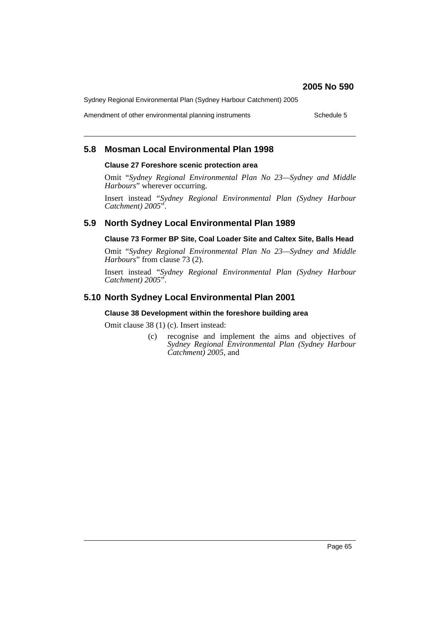Sydney Regional Environmental Plan (Sydney Harbour Catchment) 2005

Amendment of other environmental planning instruments Schedule 5

# **5.8 Mosman Local Environmental Plan 1998**

### **Clause 27 Foreshore scenic protection area**

Omit "*Sydney Regional Environmental Plan No 23—Sydney and Middle Harbours*" wherever occurring.

Insert instead "*Sydney Regional Environmental Plan (Sydney Harbour Catchment) 2005*".

# **5.9 North Sydney Local Environmental Plan 1989**

### **Clause 73 Former BP Site, Coal Loader Site and Caltex Site, Balls Head**

Omit "*Sydney Regional Environmental Plan No 23—Sydney and Middle Harbours*" from clause 73 (2).

Insert instead "*Sydney Regional Environmental Plan (Sydney Harbour Catchment) 2005*".

# **5.10 North Sydney Local Environmental Plan 2001**

### **Clause 38 Development within the foreshore building area**

Omit clause 38 (1) (c). Insert instead:

(c) recognise and implement the aims and objectives of *Sydney Regional Environmental Plan (Sydney Harbour Catchment) 2005*, and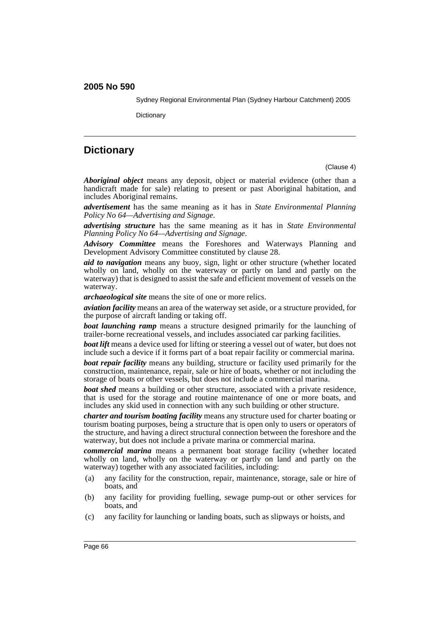Sydney Regional Environmental Plan (Sydney Harbour Catchment) 2005

**Dictionary** 

# **Dictionary**

(Clause 4)

*Aboriginal object* means any deposit, object or material evidence (other than a handicraft made for sale) relating to present or past Aboriginal habitation, and includes Aboriginal remains.

*advertisement* has the same meaning as it has in *State Environmental Planning Policy No 64—Advertising and Signage*.

*advertising structure* has the same meaning as it has in *State Environmental Planning Policy No 64—Advertising and Signage*.

*Advisory Committee* means the Foreshores and Waterways Planning and Development Advisory Committee constituted by clause 28.

*aid to navigation* means any buoy, sign, light or other structure (whether located wholly on land, wholly on the waterway or partly on land and partly on the waterway) that is designed to assist the safe and efficient movement of vessels on the waterway.

*archaeological site* means the site of one or more relics.

*aviation facility* means an area of the waterway set aside, or a structure provided, for the purpose of aircraft landing or taking off.

*boat launching ramp* means a structure designed primarily for the launching of trailer-borne recreational vessels, and includes associated car parking facilities.

*boat lift* means a device used for lifting or steering a vessel out of water, but does not include such a device if it forms part of a boat repair facility or commercial marina.

*boat repair facility* means any building, structure or facility used primarily for the construction, maintenance, repair, sale or hire of boats, whether or not including the storage of boats or other vessels, but does not include a commercial marina.

*boat shed* means a building or other structure, associated with a private residence, that is used for the storage and routine maintenance of one or more boats, and includes any skid used in connection with any such building or other structure.

*charter and tourism boating facility* means any structure used for charter boating or tourism boating purposes, being a structure that is open only to users or operators of the structure, and having a direct structural connection between the foreshore and the waterway, but does not include a private marina or commercial marina.

*commercial marina* means a permanent boat storage facility (whether located wholly on land, wholly on the waterway or partly on land and partly on the waterway) together with any associated facilities, including:

- (a) any facility for the construction, repair, maintenance, storage, sale or hire of boats, and
- (b) any facility for providing fuelling, sewage pump-out or other services for boats, and
- (c) any facility for launching or landing boats, such as slipways or hoists, and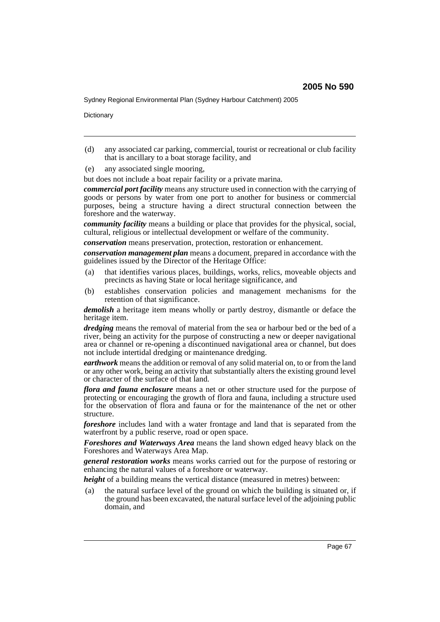Sydney Regional Environmental Plan (Sydney Harbour Catchment) 2005

**Dictionary** 

- (d) any associated car parking, commercial, tourist or recreational or club facility that is ancillary to a boat storage facility, and
- (e) any associated single mooring,

but does not include a boat repair facility or a private marina.

*commercial port facility* means any structure used in connection with the carrying of goods or persons by water from one port to another for business or commercial purposes, being a structure having a direct structural connection between the foreshore and the waterway.

*community facility* means a building or place that provides for the physical, social, cultural, religious or intellectual development or welfare of the community.

*conservation* means preservation, protection, restoration or enhancement.

*conservation management plan* means a document, prepared in accordance with the guidelines issued by the Director of the Heritage Office:

- (a) that identifies various places, buildings, works, relics, moveable objects and precincts as having State or local heritage significance, and
- (b) establishes conservation policies and management mechanisms for the retention of that significance.

*demolish* a heritage item means wholly or partly destroy, dismantle or deface the heritage item.

*dredging* means the removal of material from the sea or harbour bed or the bed of a river, being an activity for the purpose of constructing a new or deeper navigational area or channel or re-opening a discontinued navigational area or channel, but does not include intertidal dredging or maintenance dredging.

*earthwork* means the addition or removal of any solid material on, to or from the land or any other work, being an activity that substantially alters the existing ground level or character of the surface of that land.

*flora and fauna enclosure* means a net or other structure used for the purpose of protecting or encouraging the growth of flora and fauna, including a structure used for the observation of flora and fauna or for the maintenance of the net or other structure.

*foreshore* includes land with a water frontage and land that is separated from the waterfront by a public reserve, road or open space.

*Foreshores and Waterways Area* means the land shown edged heavy black on the Foreshores and Waterways Area Map.

*general restoration works* means works carried out for the purpose of restoring or enhancing the natural values of a foreshore or waterway.

*height* of a building means the vertical distance (measured in metres) between:

(a) the natural surface level of the ground on which the building is situated or, if the ground has been excavated, the natural surface level of the adjoining public domain, and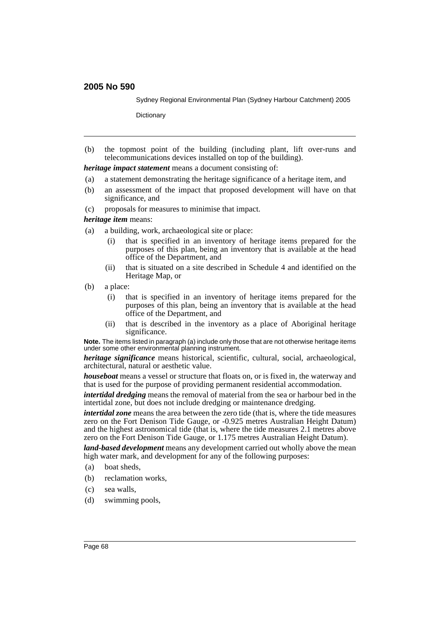Sydney Regional Environmental Plan (Sydney Harbour Catchment) 2005

**Dictionary** 

(b) the topmost point of the building (including plant, lift over-runs and telecommunications devices installed on top of the building).

*heritage impact statement* means a document consisting of:

- (a) a statement demonstrating the heritage significance of a heritage item, and
- (b) an assessment of the impact that proposed development will have on that significance, and
- (c) proposals for measures to minimise that impact.

*heritage item* means:

- (a) a building, work, archaeological site or place:
	- (i) that is specified in an inventory of heritage items prepared for the purposes of this plan, being an inventory that is available at the head office of the Department, and
	- (ii) that is situated on a site described in Schedule 4 and identified on the Heritage Map, or
- (b) a place:
	- (i) that is specified in an inventory of heritage items prepared for the purposes of this plan, being an inventory that is available at the head office of the Department, and
	- (ii) that is described in the inventory as a place of Aboriginal heritage significance.

**Note.** The items listed in paragraph (a) include only those that are not otherwise heritage items under some other environmental planning instrument.

*heritage significance* means historical, scientific, cultural, social, archaeological, architectural, natural or aesthetic value.

*houseboat* means a vessel or structure that floats on, or is fixed in, the waterway and that is used for the purpose of providing permanent residential accommodation.

*intertidal dredging* means the removal of material from the sea or harbour bed in the intertidal zone, but does not include dredging or maintenance dredging.

*intertidal zone* means the area between the zero tide (that is, where the tide measures zero on the Fort Denison Tide Gauge, or -0.925 metres Australian Height Datum) and the highest astronomical tide (that is, where the tide measures 2.1 metres above zero on the Fort Denison Tide Gauge, or 1.175 metres Australian Height Datum).

*land-based development* means any development carried out wholly above the mean high water mark, and development for any of the following purposes:

- (a) boat sheds,
- (b) reclamation works,
- (c) sea walls,
- (d) swimming pools,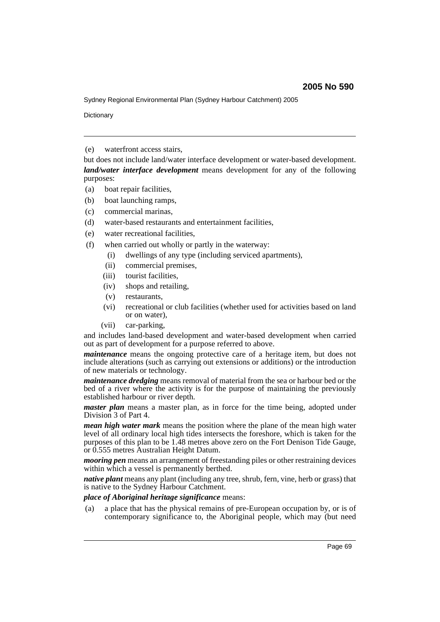Sydney Regional Environmental Plan (Sydney Harbour Catchment) 2005

**Dictionary** 

(e) waterfront access stairs,

but does not include land/water interface development or water-based development. *land/water interface development* means development for any of the following purposes:

- (a) boat repair facilities,
- (b) boat launching ramps,
- (c) commercial marinas,
- (d) water-based restaurants and entertainment facilities,
- (e) water recreational facilities,
- (f) when carried out wholly or partly in the waterway:
	- (i) dwellings of any type (including serviced apartments),
	- (ii) commercial premises,
	- (iii) tourist facilities,
	- (iv) shops and retailing,
	- (v) restaurants,
	- (vi) recreational or club facilities (whether used for activities based on land or on water),
	- (vii) car-parking,

and includes land-based development and water-based development when carried out as part of development for a purpose referred to above.

*maintenance* means the ongoing protective care of a heritage item, but does not include alterations (such as carrying out extensions or additions) or the introduction of new materials or technology.

*maintenance dredging* means removal of material from the sea or harbour bed or the bed of a river where the activity is for the purpose of maintaining the previously established harbour or river depth.

*master plan* means a master plan, as in force for the time being, adopted under Division 3 of Part 4.

*mean high water mark* means the position where the plane of the mean high water level of all ordinary local high tides intersects the foreshore, which is taken for the purposes of this plan to be 1.48 metres above zero on the Fort Denison Tide Gauge, or 0.555 metres Australian Height Datum.

*mooring pen* means an arrangement of freestanding piles or other restraining devices within which a vessel is permanently berthed.

*native plant* means any plant (including any tree, shrub, fern, vine, herb or grass) that is native to the Sydney Harbour Catchment.

### *place of Aboriginal heritage significance* means:

(a) a place that has the physical remains of pre-European occupation by, or is of contemporary significance to, the Aboriginal people, which may (but need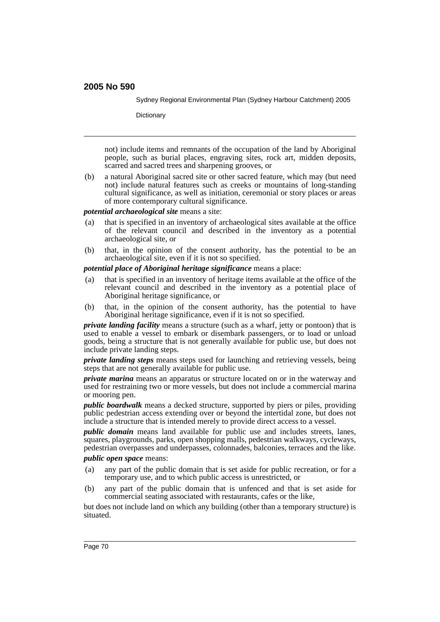Sydney Regional Environmental Plan (Sydney Harbour Catchment) 2005

**Dictionary** 

not) include items and remnants of the occupation of the land by Aboriginal people, such as burial places, engraving sites, rock art, midden deposits, scarred and sacred trees and sharpening grooves, or

(b) a natural Aboriginal sacred site or other sacred feature, which may (but need not) include natural features such as creeks or mountains of long-standing cultural significance, as well as initiation, ceremonial or story places or areas of more contemporary cultural significance.

*potential archaeological site* means a site:

- (a) that is specified in an inventory of archaeological sites available at the office of the relevant council and described in the inventory as a potential archaeological site, or
- (b) that, in the opinion of the consent authority, has the potential to be an archaeological site, even if it is not so specified.

*potential place of Aboriginal heritage significance* means a place:

- (a) that is specified in an inventory of heritage items available at the office of the relevant council and described in the inventory as a potential place of Aboriginal heritage significance, or
- (b) that, in the opinion of the consent authority, has the potential to have Aboriginal heritage significance, even if it is not so specified.

*private landing facility* means a structure (such as a wharf, jetty or pontoon) that is used to enable a vessel to embark or disembark passengers, or to load or unload goods, being a structure that is not generally available for public use, but does not include private landing steps.

*private landing steps* means steps used for launching and retrieving vessels, being steps that are not generally available for public use.

*private marina* means an apparatus or structure located on or in the waterway and used for restraining two or more vessels, but does not include a commercial marina or mooring pen.

*public boardwalk* means a decked structure, supported by piers or piles, providing public pedestrian access extending over or beyond the intertidal zone, but does not include a structure that is intended merely to provide direct access to a vessel.

*public domain* means land available for public use and includes streets, lanes, squares, playgrounds, parks, open shopping malls, pedestrian walkways, cycleways, pedestrian overpasses and underpasses, colonnades, balconies, terraces and the like.

*public open space* means:

- (a) any part of the public domain that is set aside for public recreation, or for a temporary use, and to which public access is unrestricted, or
- (b) any part of the public domain that is unfenced and that is set aside for commercial seating associated with restaurants, cafes or the like,

but does not include land on which any building (other than a temporary structure) is situated.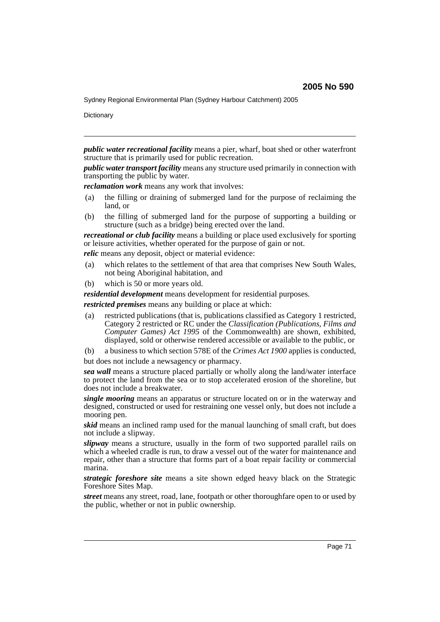Sydney Regional Environmental Plan (Sydney Harbour Catchment) 2005

**Dictionary** 

*public water recreational facility* means a pier, wharf, boat shed or other waterfront structure that is primarily used for public recreation.

*public water transport facility* means any structure used primarily in connection with transporting the public by water.

*reclamation work* means any work that involves:

- (a) the filling or draining of submerged land for the purpose of reclaiming the land, or
- (b) the filling of submerged land for the purpose of supporting a building or structure (such as a bridge) being erected over the land.

*recreational or club facility* means a building or place used exclusively for sporting or leisure activities, whether operated for the purpose of gain or not.

*relic* means any deposit, object or material evidence:

- (a) which relates to the settlement of that area that comprises New South Wales, not being Aboriginal habitation, and
- (b) which is 50 or more years old.

*residential development* means development for residential purposes.

*restricted premises* means any building or place at which:

- (a) restricted publications (that is, publications classified as Category 1 restricted, Category 2 restricted or RC under the *Classification (Publications, Films and Computer Games) Act 1995* of the Commonwealth) are shown, exhibited, displayed, sold or otherwise rendered accessible or available to the public, or
- (b) a business to which section 578E of the *Crimes Act 1900* applies is conducted,
- but does not include a newsagency or pharmacy.

*sea wall* means a structure placed partially or wholly along the land/water interface to protect the land from the sea or to stop accelerated erosion of the shoreline, but does not include a breakwater.

*single mooring* means an apparatus or structure located on or in the waterway and designed, constructed or used for restraining one vessel only, but does not include a mooring pen.

*skid* means an inclined ramp used for the manual launching of small craft, but does not include a slipway.

*slipway* means a structure, usually in the form of two supported parallel rails on which a wheeled cradle is run, to draw a vessel out of the water for maintenance and repair, other than a structure that forms part of a boat repair facility or commercial marina.

*strategic foreshore site* means a site shown edged heavy black on the Strategic Foreshore Sites Map.

*street* means any street, road, lane, footpath or other thoroughfare open to or used by the public, whether or not in public ownership.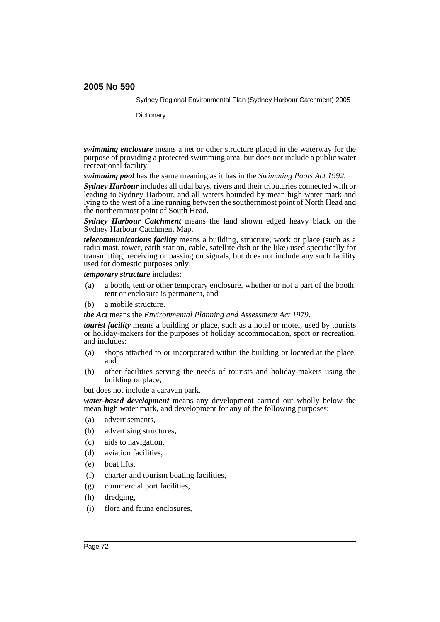Sydney Regional Environmental Plan (Sydney Harbour Catchment) 2005

**Dictionary** 

*swimming enclosure* means a net or other structure placed in the waterway for the purpose of providing a protected swimming area, but does not include a public water recreational facility.

*swimming pool* has the same meaning as it has in the *Swimming Pools Act 1992*.

*Sydney Harbour* includes all tidal bays, rivers and their tributaries connected with or leading to Sydney Harbour, and all waters bounded by mean high water mark and lying to the west of a line running between the southernmost point of North Head and the northernmost point of South Head.

*Sydney Harbour Catchment* means the land shown edged heavy black on the Sydney Harbour Catchment Map.

*telecommunications facility* means a building, structure, work or place (such as a radio mast, tower, earth station, cable, satellite dish or the like) used specifically for transmitting, receiving or passing on signals, but does not include any such facility used for domestic purposes only.

*temporary structure* includes:

- (a) a booth, tent or other temporary enclosure, whether or not a part of the booth, tent or enclosure is permanent, and
- (b) a mobile structure.

*the Act* means the *Environmental Planning and Assessment Act 1979*.

*tourist facility* means a building or place, such as a hotel or motel, used by tourists or holiday-makers for the purposes of holiday accommodation, sport or recreation, and includes:

- (a) shops attached to or incorporated within the building or located at the place, and
- (b) other facilities serving the needs of tourists and holiday-makers using the building or place,

but does not include a caravan park.

*water-based development* means any development carried out wholly below the mean high water mark, and development for any of the following purposes:

- (a) advertisements,
- (b) advertising structures,
- (c) aids to navigation,
- (d) aviation facilities,
- (e) boat lifts,
- (f) charter and tourism boating facilities,
- (g) commercial port facilities,
- (h) dredging,
- (i) flora and fauna enclosures,